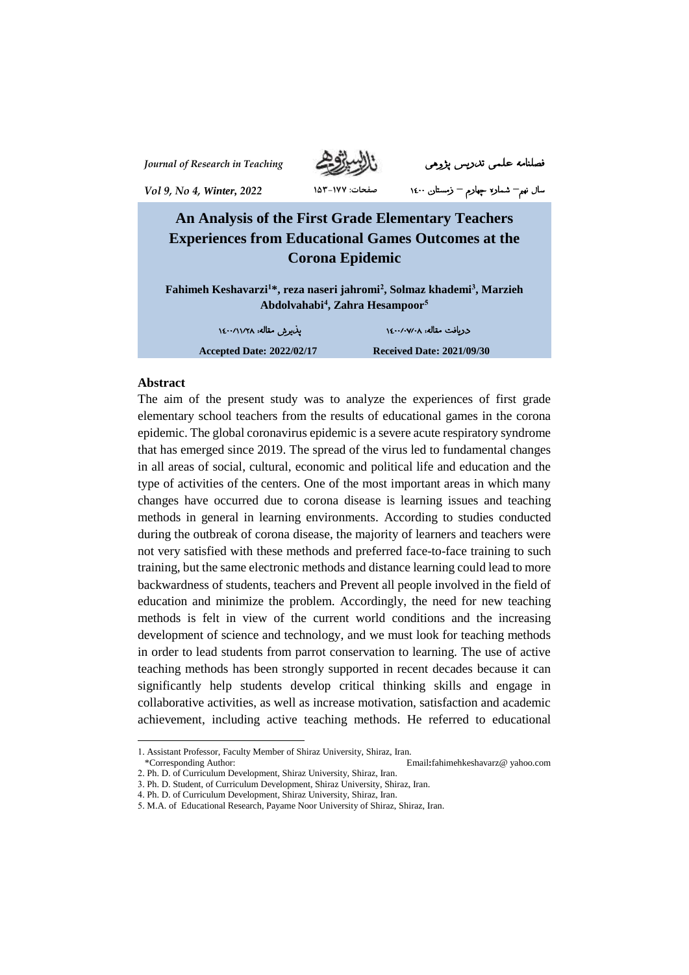

*Journal of Research in Teaching* پژوهی تدریس علمی فصلنامه

سال نهم**–** شماره چهارم **–** زمستان 1400 **صفحات: ۱۵۳-۱۷۷** *<sup>2022</sup> ,Winter 4, No 9, Vol*

# **An Analysis of the First Grade Elementary Teachers Experiences from Educational Games Outcomes at the Corona Epidemic**

**Fahimeh Keshavarzi<sup>1</sup>\*, reza naseri jahromi<sup>2</sup> , Solmaz khademi<sup>3</sup> , Marzieh Abdolvahabi<sup>4</sup> , Zahra Hesampoor<sup>5</sup>**

دریافت مقاله: 1400/0۷/0۸ پذیرش مقاله: 1400/11/۲۸

**Accepted Date: 2022/02/17 Received Date: 2021/09/30**

#### **Abstract**

l

The aim of the present study was to analyze the experiences of first grade elementary school teachers from the results of educational games in the corona epidemic. The global coronavirus epidemic is a severe acute respiratory syndrome that has emerged since 2019. The spread of the virus led to fundamental changes in all areas of social, cultural, economic and political life and education and the type of activities of the centers. One of the most important areas in which many changes have occurred due to corona disease is learning issues and teaching methods in general in learning environments. According to studies conducted during the outbreak of corona disease, the majority of learners and teachers were not very satisfied with these methods and preferred face-to-face training to such training, but the same electronic methods and distance learning could lead to more backwardness of students, teachers and Prevent all people involved in the field of education and minimize the problem. Accordingly, the need for new teaching methods is felt in view of the current world conditions and the increasing development of science and technology, and we must look for teaching methods in order to lead students from parrot conservation to learning. The use of active teaching methods has been strongly supported in recent decades because it can significantly help students develop critical thinking skills and engage in collaborative activities, as well as increase motivation, satisfaction and academic achievement, including active teaching methods. He referred to educational

<sup>1.</sup> Assistant Professor, Faculty Member of Shiraz University, Shiraz, Iran. \*Corresponding Author:Email**:**fahimehkeshavarz@ yahoo.com

<sup>2.</sup> Ph. D. of Curriculum Development, Shiraz University, Shiraz, Iran.

<sup>3.</sup> Ph. D. Student, of Curriculum Development, Shiraz University, Shiraz, Iran.

<sup>4.</sup> Ph. D. of Curriculum Development, Shiraz University, Shiraz, Iran.

<sup>5.</sup> M.A. of Educational Research, Payame Noor University of Shiraz, Shiraz, Iran.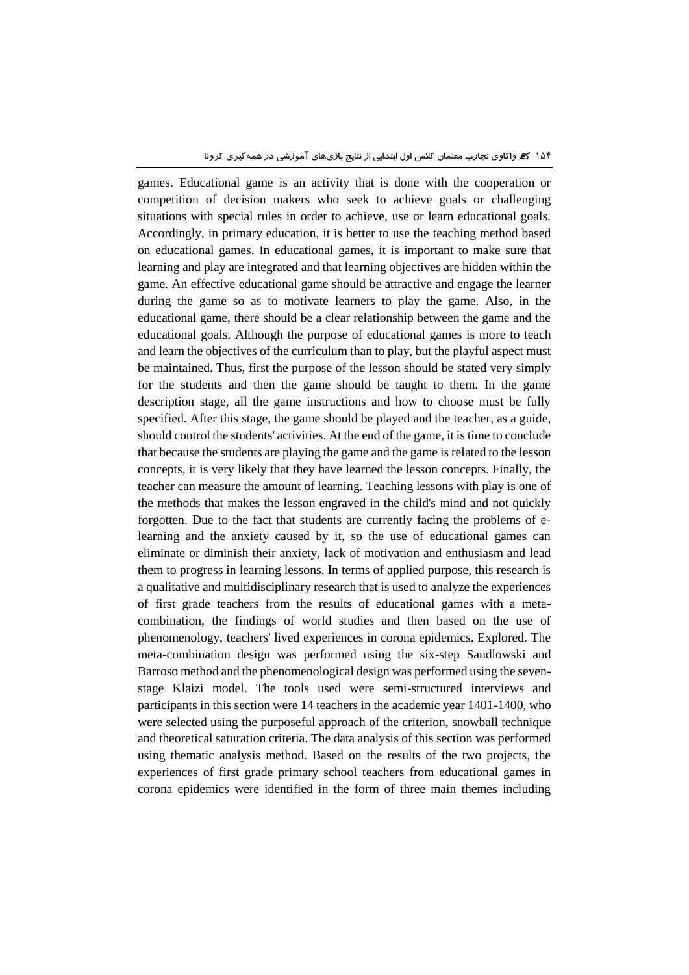games. Educational game is an activity that is done with the cooperation or competition of decision makers who seek to achieve goals or challenging situations with special rules in order to achieve, use or learn educational goals. Accordingly, in primary education, it is better to use the teaching method based on educational games. In educational games, it is important to make sure that learning and play are integrated and that learning objectives are hidden within the game. An effective educational game should be attractive and engage the learner during the game so as to motivate learners to play the game. Also, in the educational game, there should be a clear relationship between the game and the educational goals. Although the purpose of educational games is more to teach and learn the objectives of the curriculum than to play, but the playful aspect must be maintained. Thus, first the purpose of the lesson should be stated very simply for the students and then the game should be taught to them. In the game description stage, all the game instructions and how to choose must be fully specified. After this stage, the game should be played and the teacher, as a guide, should control the students' activities. At the end of the game, it is time to conclude that because the students are playing the game and the game is related to the lesson concepts, it is very likely that they have learned the lesson concepts. Finally, the teacher can measure the amount of learning. Teaching lessons with play is one of the methods that makes the lesson engraved in the child's mind and not quickly forgotten. Due to the fact that students are currently facing the problems of elearning and the anxiety caused by it, so the use of educational games can eliminate or diminish their anxiety, lack of motivation and enthusiasm and lead them to progress in learning lessons. In terms of applied purpose, this research is a qualitative and multidisciplinary research that is used to analyze the experiences of first grade teachers from the results of educational games with a metacombination, the findings of world studies and then based on the use of phenomenology, teachers' lived experiences in corona epidemics. Explored. The meta-combination design was performed using the six-step Sandlowski and Barroso method and the phenomenological design was performed using the sevenstage Klaizi model. The tools used were semi-structured interviews and participants in this section were 14 teachers in the academic year 1401-1400, who were selected using the purposeful approach of the criterion, snowball technique and theoretical saturation criteria. The data analysis of this section was performed using thematic analysis method. Based on the results of the two projects, the experiences of first grade primary school teachers from educational games in corona epidemics were identified in the form of three main themes including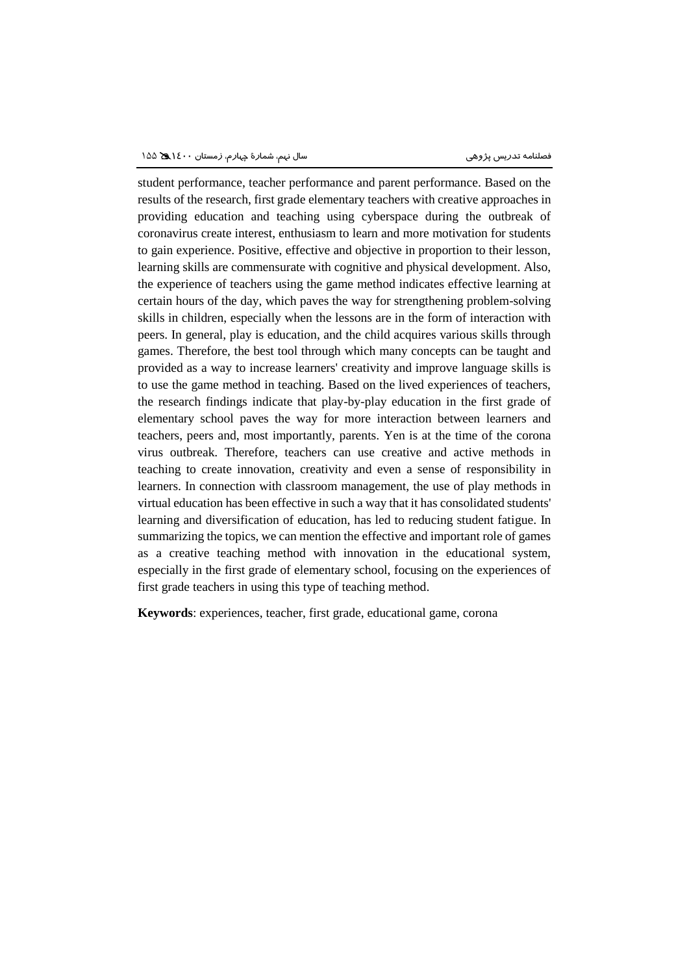student performance, teacher performance and parent performance. Based on the results of the research, first grade elementary teachers with creative approaches in providing education and teaching using cyberspace during the outbreak of coronavirus create interest, enthusiasm to learn and more motivation for students to gain experience. Positive, effective and objective in proportion to their lesson, learning skills are commensurate with cognitive and physical development. Also, the experience of teachers using the game method indicates effective learning at certain hours of the day, which paves the way for strengthening problem-solving skills in children, especially when the lessons are in the form of interaction with peers. In general, play is education, and the child acquires various skills through games. Therefore, the best tool through which many concepts can be taught and provided as a way to increase learners' creativity and improve language skills is to use the game method in teaching. Based on the lived experiences of teachers, the research findings indicate that play-by-play education in the first grade of elementary school paves the way for more interaction between learners and teachers, peers and, most importantly, parents. Yen is at the time of the corona virus outbreak. Therefore, teachers can use creative and active methods in teaching to create innovation, creativity and even a sense of responsibility in learners. In connection with classroom management, the use of play methods in virtual education has been effective in such a way that it has consolidated students' learning and diversification of education, has led to reducing student fatigue. In summarizing the topics, we can mention the effective and important role of games as a creative teaching method with innovation in the educational system, especially in the first grade of elementary school, focusing on the experiences of first grade teachers in using this type of teaching method.

**Keywords**: experiences, teacher, first grade, educational game, corona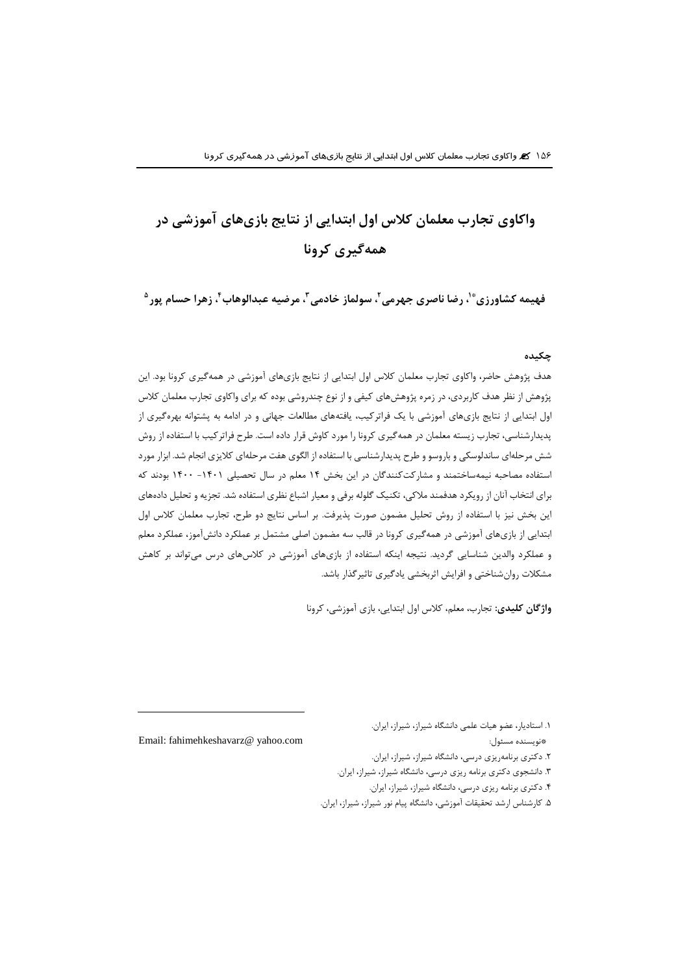# **واكاوي تجارب معلمان كالس اول ابتدایی از نتایج بازيهاي آموزشی در همهگیري كرونا**

فهیمه كشاورزی<sup>\*</sup>'، رضا ناصری جهرمی <sup>۲</sup>، سولماز خادمی <sup>۲</sup>، مرضیه عبدالوهاب <sup>۲</sup>، زهرا حسام پور <sup>۵</sup>

#### **چکیده**

هدف پژوهش حاضر، واكاوي تجارب معلمان كالس اول ابتدایی از نتایج بازيهاي آموزشی در همهگیري كرونا بود. این پژوهش از نظر هدف كاربردي، در زمره پژوهشهاي كیفی و از نوع چندروشی بوده كه براي واكاوي تجارب معلمان كالس اول ابتدایی از نتایج بازيهاي آموزشی با یک فراتركیب، یافتههاي مطالعات جهانی و در ادامه به پشتوانه بهرهگیري از پدیدارشناسی، تجارب زیسته معلمان در همهگیري كرونا را مورد كاوش قرار داده است. طرح فراتركیب با استفاده از روش شش مرحلهاي ساندلوسکی و باروسو و طرح پدیدارشناسی با استفاده از الگوي هفت مرحلهاي كالیزي انجام شد. ابزار مورد استفاده مصاحبه نیمهساختمند و مشاركتكنندگان در این بخش ۱۴ معلم در سال تحصیلی ۱۴۰۱ - ۱۴۰۰ بودند كه براي انتخاب آنان از رویکرد هدفمند مالكی، تکنیک گلوله برفی و معیار اشباع نظري استفاده شد. تجزیه و تحلیل دادههاي این بخش نیز با استفاده از روش تحلیل مضمون صورت پذیرفت. بر اساس نتایج دو طرح، تجارب معلمان كالس اول ابتدایی از بازيهاي آموزشی در همهگیري كرونا در قالب سه مضمون اصلی مشتمل بر عملکرد دانشآموز، عملکرد معلم و عملکرد والدین شناسایی گردید. نتیجه اینکه استفاده از بازيهاي آموزشی در كالسهاي درس میتواند بر كاهش مشکالت روانشناختی و افرایش اثربخشی یادگیري تاثیرگذار باشد.

**واژگان كلیدي:** تجارب، معلم، كالس اول ابتدایی، بازي آموزشی، كرونا

.1 استادیار، عضو هیات علمی دانشگاه شیراز، شیراز، ایران. Email: fahimehkeshavarz@ yahoo.com :مسئول نویسنده\* .2 دكتري برنامهریزي درسی، دانشگاه شیراز، شیراز، ایران. .3 دانشجوي دكتري برنامه ریزي درسی، دانشگاه شیراز، شیراز، ایران. .4 دكتري برنامه ریزي درسی، دانشگاه شیراز، شیراز، ایران. .5 كارشناس ارشد تحقیقات آموزشی، دانشگاه پیام نور شیراز، شیراز، ایران.

 $\overline{a}$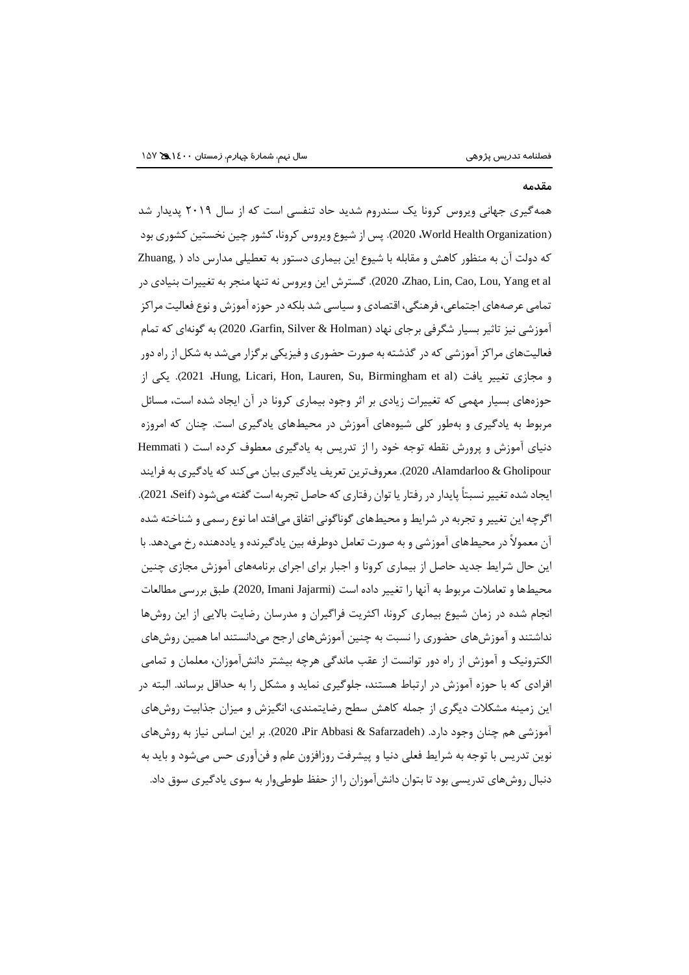#### **مقدمه**

همهگیري جهانی ویروس كرونا یک سندروم شدید حاد تنفسی است كه از سال 2019 پدیدار شد )Organization Health World، 2020). پس از شیوع ویروس كرونا،كشور چین نخستین كشوري بود كه دولت آن به منظور كاهش و مقابله با شیوع این بیماري دستور به تعطیلی مدارس داد ) ,Zhuang al et Yang ,Lou ,Cao ,Lin ,Zhao، 2020). گسترش این ویروس نه تنها منجر به تغییرات بنیادي در تمامی عرصههاي اجتماعی، فرهنگی، اقتصادي و سیاسی شد بلکه در حوزه آموزش و نوع فعالیت مراكز آموزشي نيز تاثير بسيار شگرفي برجاي نهاد (Garfin, Silver & Holman، 2020) به گونهاي كه تمام فعالیتهاي مراكز آموزشی كه در گذشته به صورت حضوري و فیزیکی برگزار میشد به شکل از راهدور از یکی .(2021 ،Hung, Licari, Hon, Lauren, Su, Birmingham et al( یافت تغییر مجازي و حوزههاي بسیار مهمی كه تغییرات زیادي بر اثر وجود بیماري كرونا در آن ایجاد شده است، مسائل مربوط به یادگیري و بهطور كلی شیوههاي آموزش در محیطهاي یادگیري است. چنان كه امروزه دنیاي آموزش و پرورش نقطه توجه خود را از تدریس به یادگیري معطوف كرده است ) Hemmati Gholipour & Alamdarloo، 2020). معروفترین تعریف یادگیري بیان میكند كه یادگیري به فرایند ایجاد شده تغییر نسبتاً پایدار در رفتار یا توان رفتاری كه حاصل تجربه است گفته می شود (Seif، 2021). اگرچه این تغییر و تجربه در شرایط و محیطهاي گوناگونی اتفاق میافتد اما نوع رسمی و شناخته شده آن معموالً در محیطهاي آموزشی و به صورت تعامل دوطرفه بین یادگیرنده و یاددهنده رخ میدهد. با این حال شرایط جدید حاصل از بیماري كرونا و اجبار براي اجراي برنامههاي آموزش مجازي چنین محیطها و تعامالت مربوط به آنها را تغییر داده است (Jajarmi Imani 2020,(. طبق بررسی مطالعات انجام شده در زمان شیوع بیماري كرونا، اكثریت فراگیران و مدرسان رضایت باالیی از این روشها نداشتند و آموزشهاي حضوري را نسبت به چنین آموزشهاي ارجح میدانستند اما همین روشهاي الکترونیک و آموزش از راه دور توانست از عقب ماندگی هرچه بیشتر دانشآموزان، معلمان و تمامی افرادي كه با حوزه آموزش در ارتباط هستند، جلوگیري نماید و مشکل را به حداقل برساند. البته در این زمینه مشکالت دیگري از جمله كاهش سطح رضایتمندي، انگیزش و میزان جذابیت روشهاي آموزشی هم چنان وجود دارد. )Safarzadeh & Abbasi Pir، 2020). بر این اساس نیاز به روشهاي نوین تدریس با توجه به شرایط فعلی دنیا و پیشرفت روزافزون علم و فنآوري حس میشود و باید به دنبال روشهاي تدریسی بود تا بتوان دانشآموزان را از حفظ طوطیوار به سوي یادگیري سوق داد.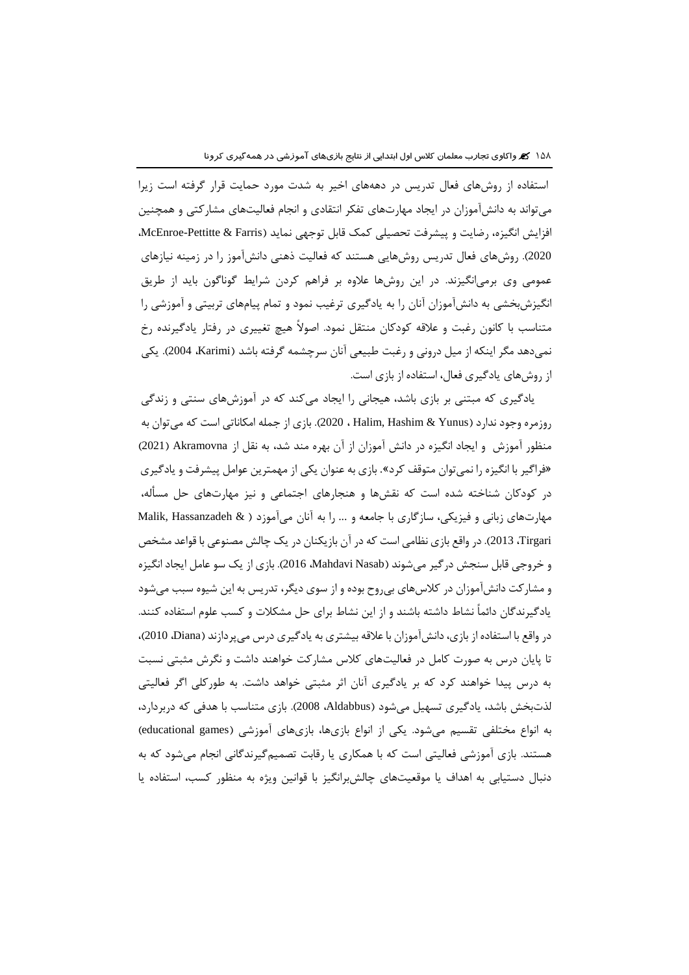استفاده از روشهاي فعال تدریس در دهههاي اخیر به شدت مورد حمایت قرار گرفته است زیرا میتواند به دانشآموزان در ایجاد مهارتهاي تفکر انتقادي و انجام فعالیتهاي مشاركتی و همچنین افزایش انگیزه، رضایت و پیشرفت تحصیلی كمک قابل توجهی نماید (McEnroe-Pettitte & Farris، 2020(. روشهاي فعال تدریس روشهایی هستند كه فعالیت ذهنی دانشآموز را در زمینه نیازهاي عمومی وي برمیانگیزند. در این روشها عالوه بر فراهم كردن شرایط گوناگون باید از طریق انگیزشبخشی به دانشآموزان آنان را به یادگیري ترغیب نمود و تمام پیامهاي تربیتی و آموزشی را متناسب با كانون رغبت و عالقه كودكان منتقل نمود. اصوالً هیچ تغییري در رفتار یادگیرنده رخ نمیدهد مگر اینکه از میل درونی و رغبت طبیعی آنان سرچشمه گرفته باشد )Karimi، 2004). یکی از روشهاي یادگیري فعال، استفاده از بازي است.

یادگیری كه مبتنی بر بازی باشد، هیجانی را ایجاد میكند كه در آموزشهای سنتی و زندگی روزمره وجود ندارد )Yunus & Hashim ,Halim ، 2020). بازي از جمله امکاناتی است كه میتوان به منظور آموزش و ایجاد انگیزه در دانش آموزان از آن بهره مند شد، به نقل از Akramovna( 2021 ) »فراگیر با انگیزه را نمیتوان متوقف كرد«. بازي به عنوان یکی از مهمترین عوامل پیشرفت و یادگیري در كودكان شناخته شده است كه نقشها و هنجارهاي اجتماعی و نیز مهارتهاي حل مسأله، مهارتهاي زبانی و فیزیکی، سازگاري با جامعه و ... را به آنان میآموزد ) & Hassanzadeh ,Malik Tirgari، 2013). در واقع بازي نظامی است كه در آن بازیکنان در یک چالش مصنوعی با قواعد مشخص و خروجی قابل سنجش در گیر می شوند (Mahdavi Nasab، 2016). بازی از یک سو عامل ایجاد انگیزه و مشاركت دانشآموزان در كالسهاي بیروح بوده و از سوي دیگر، تدریس به این شیوه سبب میشود یادگیرندگان دائماً نشاط داشته باشند و از این نشاط براي حل مشکالت و كسب علوم استفاده كنند. در واقع با استفاده از بازي، دانشآموزان با عالقه بیشتري به یادگیري درس میپردازند )Diana، 2010)، تا پایان درس به صورت كامل در فعالیتهاي كالس مشاركت خواهند داشت و نگرش مثبتی نسبت به درس پیدا خواهند كرد كه بر یادگیري آنان اثر مثبتی خواهد داشت. به طوركلی اگر فعالیتی لذتبخش باشد، یادگیري تسهیل میشود )Aldabbus، 2008). بازي متناسب با هدفی كه دربردارد، به انواع مختلفی تقسیم میشود. یکی از انواع بازیها، بازیهای آموزشی (educational games) هستند. بازي آموزشی فعالیتی است كه با همکاري یا رقابت تصمیمگیرندگانی انجام میشود كه به دنبال دستیابی به اهداف یا موقعیتهاي چالشبرانگیز با قوانین ویژه به منظور كسب، استفاده یا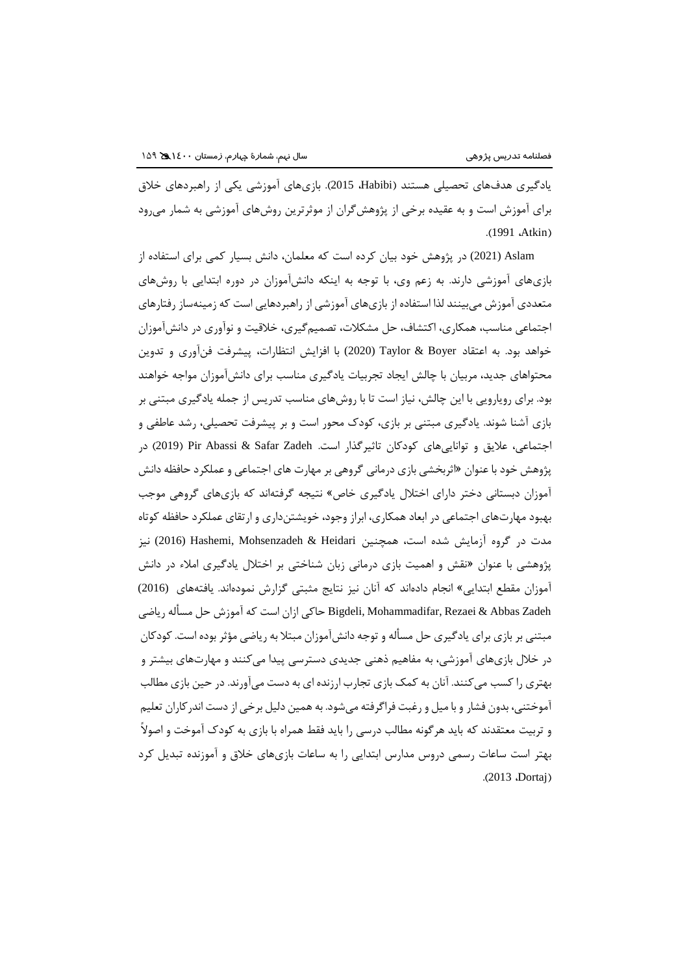یادگیري هدفهاي تحصیلی هستند )Habibi، 2015). بازيهاي آموزشی یکی از راهبردهاي خالق براي آموزش است و به عقیده برخی از پژوهشگران از موثرترین روشهاي آموزشی به شمار میرود .(1991 **.Atkin)** 

Aslam) 2021 (در پژوهش خود بیان كرده است كه معلمان، دانش بسیار كمی براي استفاده از بازيهاي آموزشی دارند. به زعم وي، با توجه به اینکه دانشآموزان در دوره ابتدایی با روشهاي متعددي آموزش میبینند لذا استفاده از بازيهاي آموزشی از راهبردهایی است كه زمینهساز رفتارهاي اجتماعی مناسب، همکاري، اكتشاف، حل مشکالت، تصمیمگیري، خالقیت و نوآوري در دانشآموزان خواهد بود. به اعتقاد Boyer & Taylor) 2020 (با افزایش انتظارات، پیشرفت فنآوري و تدوین محتواهاي جدید، مربیان با چالش ایجاد تجربیات یادگیري مناسب براي دانشآموزان مواجه خواهند بود. براي رویارویی با این چالش، نیاز است تا با روشهاي مناسب تدریس از جمله یادگیري مبتنی بر بازي آشنا شوند. یادگیري مبتنی بر بازي، كودک محور است و بر پیشرفت تحصیلی، رشد عاطفی و اجتماعی، علایق و تواناییهای كودكان تاثیرگذار است. Pir Abassi & Safar Zadeh (2019) در پژوهش خود با عنوان »اثربخشی بازي درمانی گروهی بر مهارت هاي اجتماعی و عملکرد حافظه دانش آموزان دبستانی دختر داراي اختالل یادگیري خاص« نتیجه گرفتهاند كه بازيهاي گروهی موجب بهبود مهارتهاي اجتماعی در ابعاد همکاري، ابراز وجود، خویشتنداري و ارتقاي عملکرد حافظه كوتاه مدت در گروه آزمایش شده است، همچنین Hashemi, Mohsenzadeh & Heidari (2016) نیز پژوهشی با عنوان »نقش و اهمیت بازي درمانی زبان شناختی بر اختالل یادگیري امالء در دانش آموزان مقطع ابتدایی« انجام دادهاند كه آنان نیز نتایج مثبتی گزارش نمودهاند. یافتههاي (2016) Zadeh Abbas & Rezaei ,Mohammadifar ,Bigdeli حاكی ازان است كه آموزش حل مسأله ریاضی مبتنی بر بازي براي یادگیري حل مسأله و توجه دانشآموزان مبتال به ریاضی مؤثر بوده است.كودكان در خالل بازيهاي آموزشی، به مفاهیم ذهنی جدیدي دسترسی پیدا میكنند و مهارتهاي بیشتر و بهتري راكسب میكنند. آنان به كمک بازي تجارب ارزنده اي به دست میآورند. در حین بازي مطالب آموختنی، بدون فشار و با میل و رغبت فراگرفته میشود. به همین دلیل برخی ازدست اندركاران تعلیم و تربیت معتقدند كه باید هرگونه مطالب درسی را باید فقط همراه با بازي به كودک آموخت و اصوالً بهتر است ساعات رسمی دروس مدارس ابتدایی را به ساعات بازيهاي خالق و آموزنده تبدیل كرد .(2013 **Dortaj**)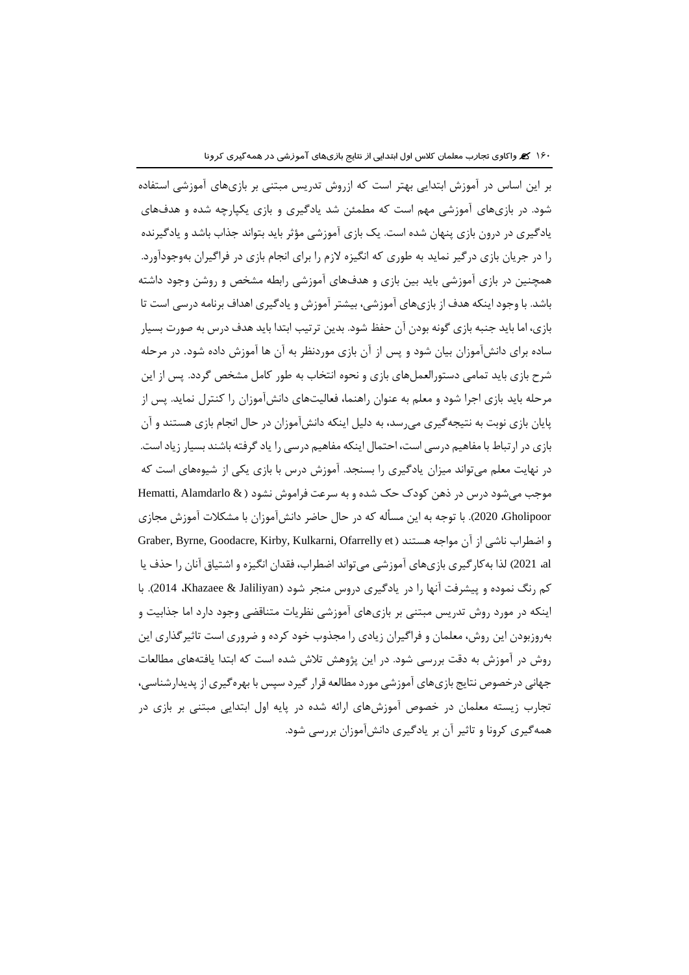بر این اساس در آموزش ابتدایی بهتر است كه ازروش تدریس مبتنی بر بازيهاي آموزشی استفاده شود. در بازيهاي آموزشی مهم است كه مطمئن شد یادگیري و بازي یکپارچه شده و هدفهاي یادگیري در درون بازي پنهان شده است. یک بازي آموزشی مؤثر باید بتواند جذاب باشد و یادگیرنده را در جریان بازي درگیر نماید به طوري كه انگیزه الزم را براي انجام بازي در فراگیران بهوجودآورد. همچنین در بازي آموزشی باید بین بازي و هدفهاي آموزشی رابطه مشخص و روشن وجود داشته باشد. با وجود اینکه هدف از بازيهاي آموزشی، بیشتر آموزش و یادگیري اهداف برنامه درسی است تا بازي، اما باید جنبه بازي گونه بودن آن حفظ شود. بدین ترتیب ابتدا باید هدف درس به صورت بسیار ساده براي دانشآموزان بیان شود و پس از آن بازي موردنظر به آن ها آموزش داده شود. در مرحله شرح بازي باید تمامی دستورالعملهاي بازي و نحوه انتخاب به طور كامل مشخص گردد. پس از این مرحله باید بازي اجرا شود و معلم به عنوان راهنما، فعالیتهاي دانشآموزان را كنترل نماید. پس از پایان بازي نوبت به نتیجهگیري میرسد، به دلیل اینکه دانشآموزان در حال انجام بازي هستند و آن بازي در ارتباط با مفاهیم درسی است، احتمال اینکه مفاهیم درسی را یادگرفته باشند بسیار زیاداست. در نهایت معلم میتواند میزان یادگیري را بسنجد. آموزش درس با بازي یکی از شیوههاي است كه موجب میشود درس در ذهن كودک حک شده و به سرعت فراموش نشود ) & Alamdarlo ,Hematti Gholipoor، 2020). با توجه به این مسأله كه در حال حاضر دانشآموزان با مشکالت آموزش مجازي و اضطراب ناشی از آن مواجه هستند ( Graber, Byrne, Goodacre, Kirby, Kulkarni, Ofarrelly et al، 2021 )لذا بهكارگیري بازيهاي آموزشی میتواند اضطراب، فقدان انگیزه و اشتیاق آنان را حذف یا كم رنگ نموده و پیشرفت آنها را در یادگیری دروس منجر شود (Khazaee & Jaliliyan، با اینکه در مورد روش تدریس مبتنی بر بازيهاي آموزشی نظریات متناقضی وجود دارد اما جذابیت و بهروزبودن این روش، معلمان و فراگیران زیادي را مجذوب خود كرده و ضروري است تاثیرگذاري این روش در آموزش به دقت بررسی شود. در این پژوهش تالش شده است كه ابتدا یافتههاي مطالعات جهانی درخصوص نتایج بازيهاي آموزشی مورد مطالعه قرار گیرد سپس با بهرهگیري از پدیدارشناسی، تجارب زیسته معلمان در خصوص آموزشهاي ارائه شده در پایه اول ابتدایی مبتنی بر بازي در همهگیري كرونا و تاثیر آن بر یادگیري دانشآموزان بررسی شود.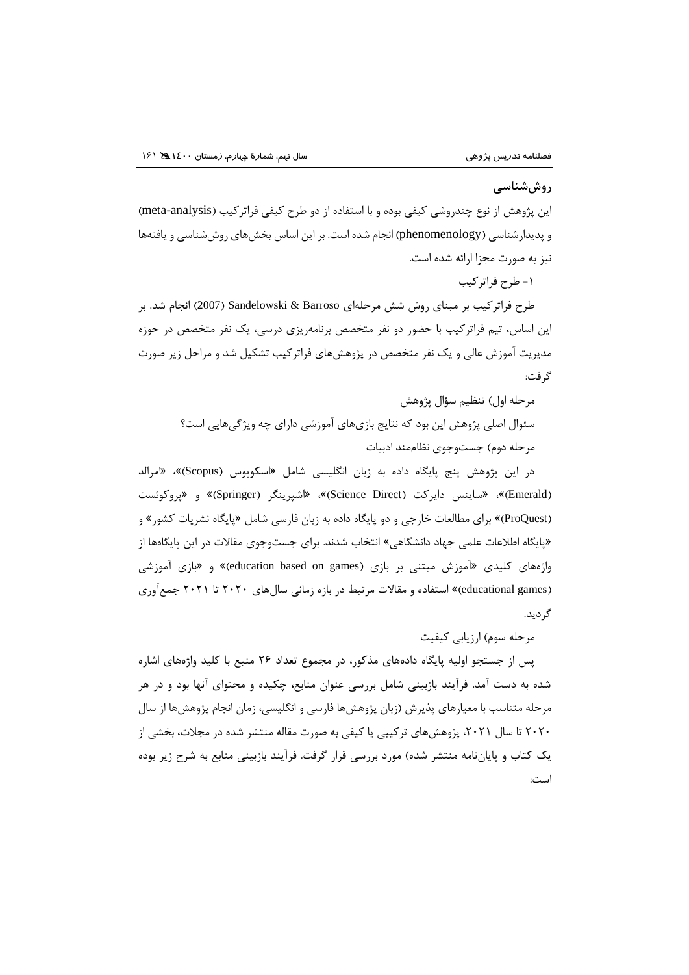### **روششناسی**

این پژوهش از نوع چندروشی كیفی بوده و با استفاده از دو طرح كیفی فراتركیب (meta-analysis) و پدیدارشناسی )phenomenology )انجام شده است. بر این اساس بخشهاي روششناسی و یافتهها نیز به صورت مجزا ارائه شده است.

-1 طرح فراتركیب

طرح فراتركیب بر مبناي روش شش مرحلهاي Barroso & Sandelowski( 2007 )انجام شد. بر این اساس، تیم فراتركیب با حضور دو نفر متخصص برنامهریزي درسی، یک نفر متخصص در حوزه مدیریت آموزش عالی و یک نفر متخصص در پژوهشهاي فراتركیب تشکیل شد و مراحل زیر صورت گرفت:

مرحله اول) تنظیم سؤال پژوهش

سئوال اصلی پژوهش این بود كه نتایج بازيهاي آموزشی داراي چه ویژگیهایی است؟ مرحله دوم) جستوجوي نظاممند ادبيات

در این پژوهش پنج پایگاه داده به زبان انگلیسی شامل «اسکوپوس (Scopus)»، «امرالد (Emerald)»، «ساینس دایركت (Science Direct)»، «اشپرینگر (Springer)» و «پروكوئست )ProQuest »)براي مطالعات خارجی و دو پایگاه داده به زبان فارسی شامل »پایگاه نشریات كشور« و »پایگاه اطالعات علمی جهاد دانشگاهی« انتخاب شدند. براي جستوجوي مقاالت در این پایگاهها از واژههاي كليدي «آموزش مبتني بر بازي (education based on games)» و «بازي آموزشي )games educational »)استفاده و مقاالت مرتبط در بازه زمانی سالهاي 2020 تا 2021 جمعآوري گردید.

مرحله سوم) ارزیابی كیفیت

پس از جستجو اولیه پایگاه دادههاي مذكور، در مجموع تعداد 26 منبع با كلید واژههاي اشاره شده به دست آمد. فرآیند بازبینی شامل بررسی عنوان منابع، چکیده و محتواي آنها بود و در هر مرحله متناسب با معیارهاي پذیرش )زبان پژوهشها فارسی و انگلیسی، زمان انجام پژوهشها از سال 2020 تا سال ،2021 پژوهشهاي تركیبی یا كیفی به صورت مقاله منتشر شده در مجالت، بخشی از یک کتاب و پایاننامه منتشر شده) مورد بررسی قرار گرفت. فرآیند بازبینی منابع به شرح زیر بوده است: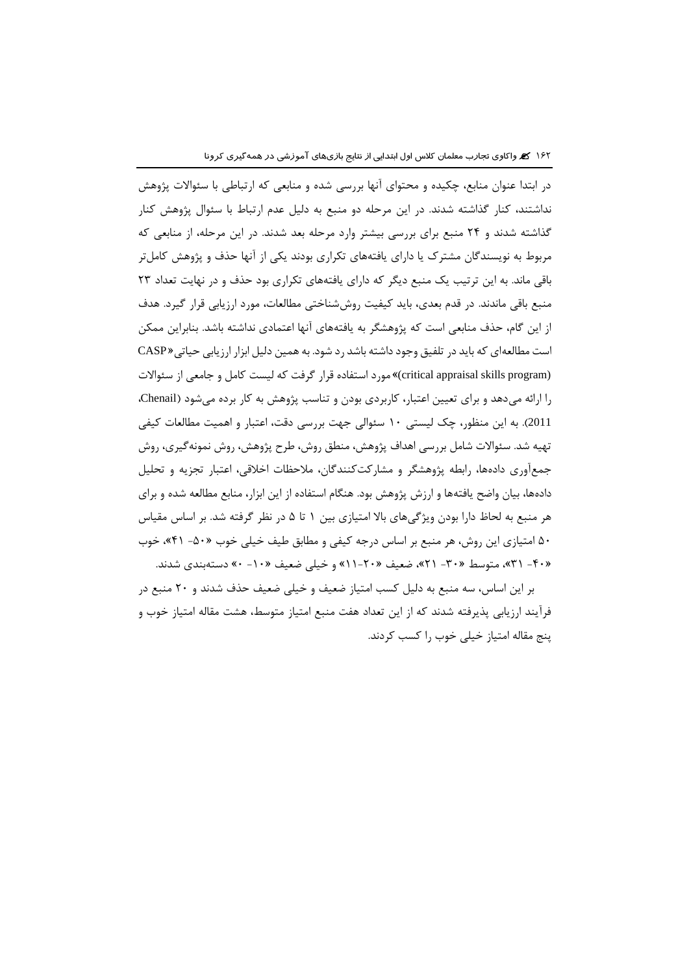در ابتدا عنوان منابع، چکیده و محتواي آنها بررسی شده و منابعی كه ارتباطی با سئواالت پژوهش نداشتند، كنار گذاشته شدند. در این مرحله دو منبع به دلیل عدم ارتباط با سئوال پژوهش كنار گذاشته شدند و 24 منبع براي بررسی بیشتر وارد مرحله بعد شدند. در این مرحله، از منابعی كه مربوط به نویسندگان مشترک یا داراي یافتههاي تکراري بودند یکی از آنها حذف و پژوهش كاملتر باقی ماند. به این ترتیب یک منبع دیگر كه داراي یافتههاي تکراري بود حذف و در نهایت تعداد 23 منبع باقی ماندند. در قدم بعدي، باید كیفیت روششناختی مطالعات، مورد ارزیابی قرار گیرد. هدف از این گام، حذف منابعی است كه پژوهشگر به یافتههاي آنها اعتمادي نداشته باشد. بنابراین ممکن است مطالعهاي كه باید در تلفیق وجود داشته باشد رد شود. به همین دلیل ابزار ارزیابی حیاتی» CASP (program skills appraisal critical »(مورد استفاده قرار گرفت كه لیست كامل و جامعی از سئواالت را ارائه میدهد و براي تعیین اعتبار، كاربردي بودن و تناسب پژوهش به كار برده میشود )Chenail، 2011(. به این منظور، چک لیستی 10 سئوالی جهت بررسی دقت، اعتبار و اهمیت مطالعات كیفی تهیه شد. سئواالت شامل بررسی اهداف پژوهش، منطق روش، طرح پژوهش، روش نمونهگیري، روش جمعآوري دادهها، رابطه پژوهشگر و مشاركتكنندگان، مالحظات اخالقی، اعتبار تجزیه و تحلیل دادهها، بیان واضح یافتهها و ارزش پژوهش بود. هنگام استفاده از این ابزار، منابع مطالعه شده و براي هر منبع به لحاظ دارا بودن ویژگیهاي باال امتیازي بین 1 تا 5 در نظر گرفته شد. بر اساس مقیاس 50 امتیازي این روش، هر منبع بر اساس درجه كیفی و مطابق طیف خیلی خوب »-50 41«، خوب »-40 31«، متوسط »-30 21«، ضعیف »11-20« و خیلی ضعیف »-10 0« دستهبندي شدند.

بر این اساس، سه منبع به دلیل كسب امتیاز ضعیف و خیلی ضعیف حذف شدند و 20 منبع در فرآیند ارزیابی پذیرفته شدند كه از این تعداد هفت منبع امتیاز متوسط، هشت مقاله امتیاز خوب و پنج مقاله امتیاز خیلی خوب را كسب كردند.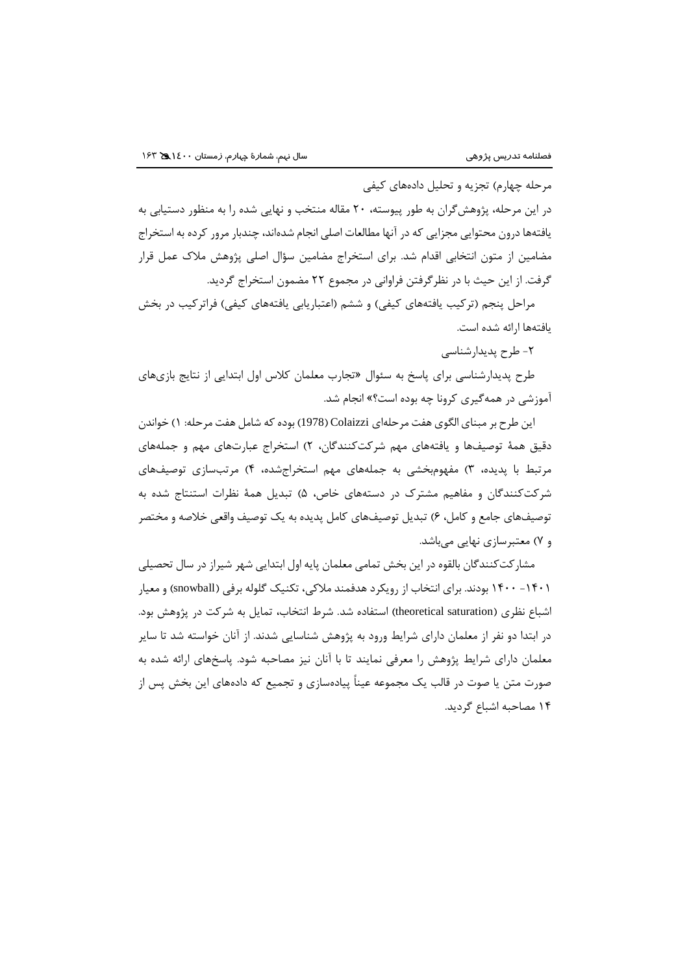مرحله چهارم) تجزیه و تحلیل دادههای كیفی

در این مرحله، پژوهشگران به طور پیوسته، 20 مقاله منتخب و نهایی شده را به منظور دستیابی به یافتهها درون محتوایی مجزایی كه در آنها مطالعات اصلی انجام شدهاند، چندبار مرور كرده به استخراج مضامین از متون انتخابی اقدام شد. براي استخراج مضامین سؤال اصلی پژوهش مالک عمل قرار گرفت. از این حیث با در نظرگرفتن فراوانی در مجموع 22 مضمون استخراج گردید.

مراحل پنجم (تركیب یافتههای كیفی) و ششم (اعتباریابی یافتههای كیفی) فراتركیب در بخش یافتهها ارائه شده است.

-2 طرح پدیدارشناسی

طرح پدیدارشناسی براي پاسخ به سئوال »تجارب معلمان كالس اول ابتدایی از نتایج بازيهاي آموزشی در همهگیري كرونا چه بوده است؟« انجام شد.

این طرح بر مبناي الگوي هفت مرحلهاي Colaizzi( 1978 )بوده كه شامل هفت مرحله: 1( خواندن دقیق همة توصیفها و یافتههاي مهم شركتكنندگان، 2( استخراج عبارتهاي مهم و جملههاي مرتبط با پدیده، 3( مفهومبخشی به جملههاي مهم استخراجشده، 4( مرتبسازي توصیفهاي شرکتکنندگان و مفاهیم مشترک در دستههای خاص، ۵) تبدیل همهٔ نظرات استنتاج شده به توصیفهاي جامع و كامل، 6( تبدیل توصیفهاي كامل پدیده به یک توصیف واقعی خالصه و مختصر و 7( معتبرسازي نهایی میباشد.

مشاركتكنندگان بالقوه در این بخش تمامی معلمان پایه اول ابتدایی شهر شیراز در سال تحصیلی -1401 1400 بودند. براي انتخاب از رویکرد هدفمند مالكی، تکنیک گلوله برفی )snowball )و معیار اشباع نظری (theoretical saturation) استفاده شد. شرط انتخاب، تمایل به شركت در پژوهش بود. در ابتدا دو نفر از معلمان داراي شرایط ورود به پژوهش شناسایی شدند. از آنان خواسته شد تا سایر معلمان داراي شرایط پژوهش را معرفی نمایند تا با آنان نیز مصاحبه شود. پاسخهاي ارائه شده به صورت متن یا صوت در قالب یک مجموعه عیناً پیادهسازي و تجمیع كه دادههاي این بخش پس از 14 مصاحبه اشباع گردید.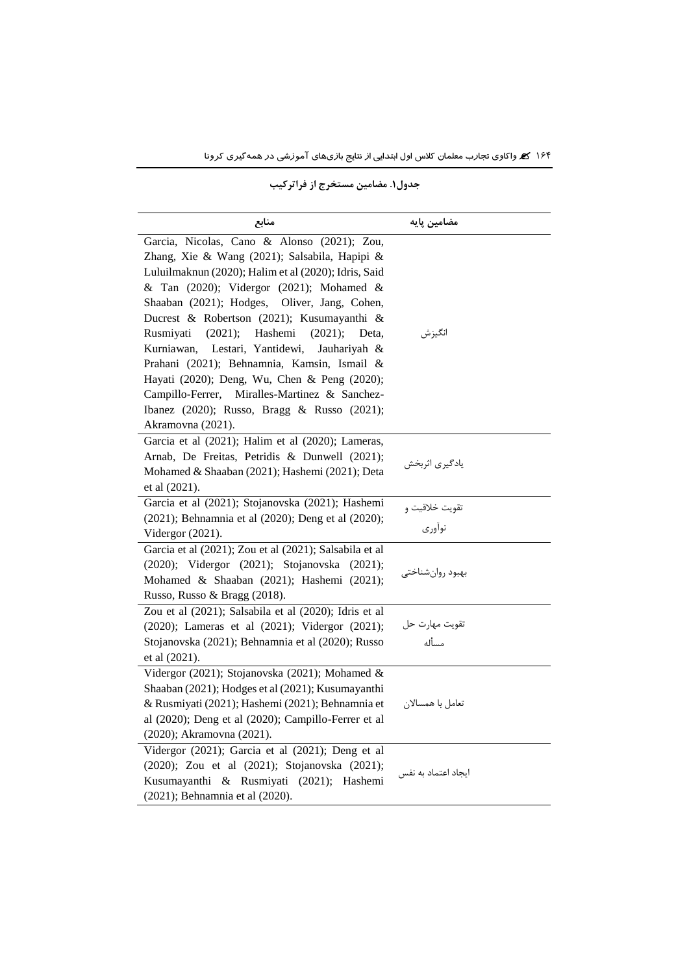#### **مضامین پایه منابع** Garcia, Nicolas, Cano & Alonso (2021); Zou, Zhang, Xie & Wang (2021); Salsabila, Hapipi & Luluilmaknun (2020); Halim et al (2020); Idris, Said & Tan (2020); Vidergor (2021); Mohamed & Shaaban (2021); Hodges, Oliver, Jang, Cohen, Ducrest & Robertson (2021); Kusumayanthi & Rusmiyati (2021); Hashemi (2021); Deta, Kurniawan, Lestari, Yantidewi, Jauhariyah & Prahani (2021); Behnamnia, Kamsin, Ismail & Hayati (2020); Deng, Wu, Chen & Peng (2020); Campillo-Ferrer, Miralles-Martinez & Sanchez-Ibanez (2020); Russo, Bragg & Russo (2021); Akramovna (2021). انگیزش Garcia et al (2021); Halim et al (2020); Lameras, Arnab, De Freitas, Petridis & Dunwell (2021); Mohamed & Shaaban (2021); Hashemi (2021); Deta et al (2021). یادگیري اثربخش Garcia et al (2021); Stojanovska (2021); Hashemi (2021); Behnamnia et al (2020); Deng et al (2020); Vidergor (2021). تقویت خالقیت و نوآوري Garcia et al (2021); Zou et al (2021); Salsabila et al (2020); Vidergor (2021); Stojanovska (2021); Mohamed & Shaaban (2021); Hashemi (2021); Russo, Russo & Bragg (2018). بهبود روانشناختی Zou et al (2021); Salsabila et al (2020); Idris et al (2020); Lameras et al (2021); Vidergor (2021); Stojanovska (2021); Behnamnia et al (2020); Russo et al (2021). تقویت مهارت حل مسأله Vidergor (2021); Stojanovska (2021); Mohamed & Shaaban (2021); Hodges et al (2021); Kusumayanthi & Rusmiyati (2021); Hashemi (2021); Behnamnia et al (2020); Deng et al (2020); Campillo-Ferrer et al (2020); Akramovna (2021). تعامل با همساالن Vidergor (2021); Garcia et al (2021); Deng et al (2020); Zou et al (2021); Stojanovska (2021); Kusumayanthi & Rusmiyati (2021); Hashemi (2021); Behnamnia et al (2020). ایجاد اعتماد به نفس

#### **جدول.۱ مضامین مستخرج از فراتركیب**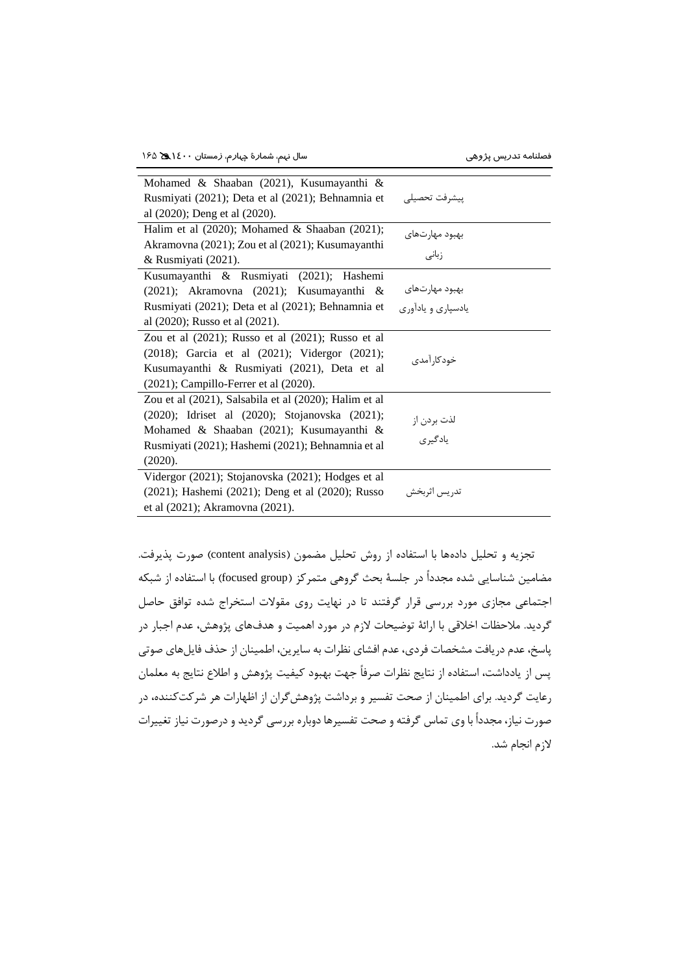| Mohamed & Shaaban (2021), Kusumayanthi &                |                                      |
|---------------------------------------------------------|--------------------------------------|
| Rusmiyati (2021); Deta et al (2021); Behnamnia et       | پيشرفت تحصيلى                        |
| al (2020); Deng et al (2020).                           |                                      |
| Halim et al (2020); Mohamed & Shaaban (2021);           |                                      |
| Akramovna (2021); Zou et al (2021); Kusumayanthi        | بهبود مهارتهای<br>زبانی              |
| & Rusmiyati (2021).                                     |                                      |
| Kusumayanthi & Rusmiyati (2021); Hashemi                |                                      |
| $(2021)$ ; Akramovna $(2021)$ ; Kusumayanthi &          | بهبود مهارتهای<br>یادسپاری و یادآوری |
| Rusmiyati (2021); Deta et al (2021); Behnamnia et       |                                      |
| al (2020); Russo et al (2021).                          |                                      |
| Zou et al $(2021)$ ; Russo et al $(2021)$ ; Russo et al |                                      |
| (2018); Garcia et al (2021); Vidergor (2021);           | خودکار آمدی                          |
| Kusumayanthi & Rusmiyati (2021), Deta et al             |                                      |
| $(2021)$ ; Campillo-Ferrer et al $(2020)$ .             |                                      |
| Zou et al (2021), Salsabila et al (2020); Halim et al   |                                      |
| (2020); Idriset al (2020); Stojanovska (2021);          |                                      |
| Mohamed & Shaaban (2021); Kusumayanthi &                | لذت بردن از<br>یادگیری               |
| Rusmiyati (2021); Hashemi (2021); Behnamnia et al       |                                      |
| (2020).                                                 |                                      |
| Vidergor (2021); Stojanovska (2021); Hodges et al       |                                      |
| (2021); Hashemi (2021); Deng et al (2020); Russo        | تدريس اثربخش                         |
| et al (2021); Akramovna (2021).                         |                                      |

تجزیه و تحلیل دادهها با استفاده از روش تحلیل مضمون (content analysis) صورت پذیرفت. مضامین شناسایی شده مجدداً در جلسهٔ بحث گروهی متمركز (focused group) با استفاده از شبکه اجتماعی مجازي مورد بررسی قرار گرفتند تا در نهایت روي مقوالت استخراج شده توافق حاصل گردید. مالحظات اخالقی با ارائة توضیحات الزم در مورد اهمیت و هدفهاي پژوهش، عدم اجبار در پاسخ، عدم دریافت مشخصات فردي، عدم افشاي نظرات به سایرین، اطمینان از حذف فایلهاي صوتی پس از یادداشت، استفاده از نتایج نظرات صرفاً جهت بهبود كیفیت پژوهش و اطالع نتایج به معلمان رعایت گردید. براي اطمینان از صحت تفسیر و برداشت پژوهشگران از اظهارات هر شركتكننده، در صورت نیاز، مجدداً با وي تماس گرفته و صحت تفسیرها دوباره بررسی گردید و درصورت نیاز تغییرات الزم انجام شد.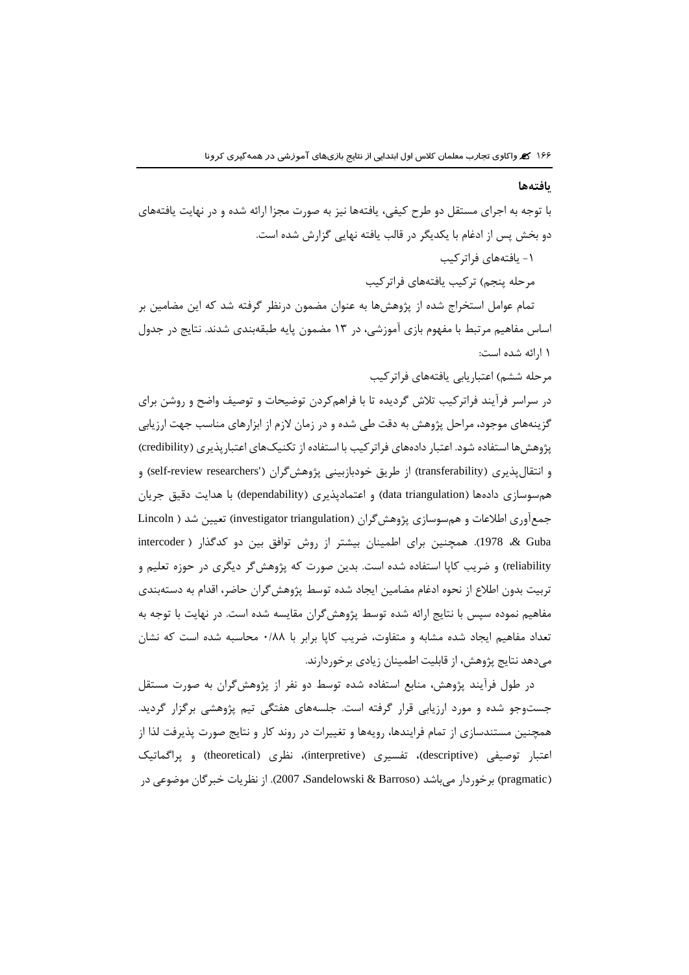#### **یافتهها**

با توجه به اجراي مستقل دو طرح كیفی، یافتهها نیز به صورت مجزا ارائه شده و در نهایت یافتههاي دو بخش پس از ادغام با یکدیگر در قالب یافته نهایی گزارش شده است. -1 یافتههاي فراتركیب مرحله پنجم) تركیب یافتههاي فراتركیب تمام عوامل استخراج شده از پژوهشها به عنوان مضمون درنظر گرفته شد كه این مضامین بر اساس مفاهیم مرتبط با مفهوم بازي آموزشی، در 13 مضمون پایه طبقهبندي شدند. نتایج در جدول 1 ارائه شده است: مرحله ششم) اعتباریابی یافتههای فراتركیب در سراسر فرآیند فراتركیب تالش گردیده تا با فراهمكردن توضیحات و توصیف واضح و روشن براي گزینههاي موجود، مراحل پژوهش به دقت طی شده و در زمان الزم از ابزارهاي مناسب جهت ارزیابی پژوهش ها استفاده شود. اعتبار دادههاي فراتركيب با استفاده از تكنيك هاي اعتبارپذيري (credibility) و انتقالپذیری (transferability) از طریق خودبازبینی پژوهشگران ('self-review researchers) و همسوسازي دادهها (data triangulation) و اعتمادپذیري (dependability) با هدایت دقیق جریان جمعآوري اطلاعات و همسوسازي پژوهشگران (investigator triangulation) تعیین شد ( Lincoln Guba& ، 1978). همچنین براي اطمینان بیشتر از روش توافق بین دو كدگذار ) intercoder

reliability )و ضریب كاپا استفاده شده است. بدین صورت كه پژوهشگر دیگري در حوزه تعلیم و تربیت بدون اطالع از نحوه ادغام مضامین ایجاد شده توسط پژوهشگران حاضر، اقدام به دستهبندي مفاهیم نموده سپس با نتایج ارائه شده توسط پژوهشگران مقایسه شده است. در نهایت با توجه به تعداد مفاهیم ایجاد شده مشابه و متفاوت، ضریب كاپا برابر با 0/88 محاسبه شده است كه نشان میدهد نتایج پژوهش، از قابلیت اطمینان زیادي برخوردارند.

در طول فرآیند پژوهش، منابع استفاده شده توسط دو نفر از پژوهشگران به صورت مستقل جستوجو شده و مورد ارزیابی قرار گرفته است. جلسههاي هفتگی تیم پژوهشی برگزار گردید. همچنین مستندسازي از تمام فرایندها، رویهها و تغییرات در روند كار و نتایج صورت پذیرفت لذا از اعتبار توصیفی (descriptive)، تفسیری (interpretive)، نظری (theoretical) و پراگماتیک )pragmatic )برخوردار میباشد )Barroso & Sandelowski، 2007). از نظریات خبرگان موضوعی در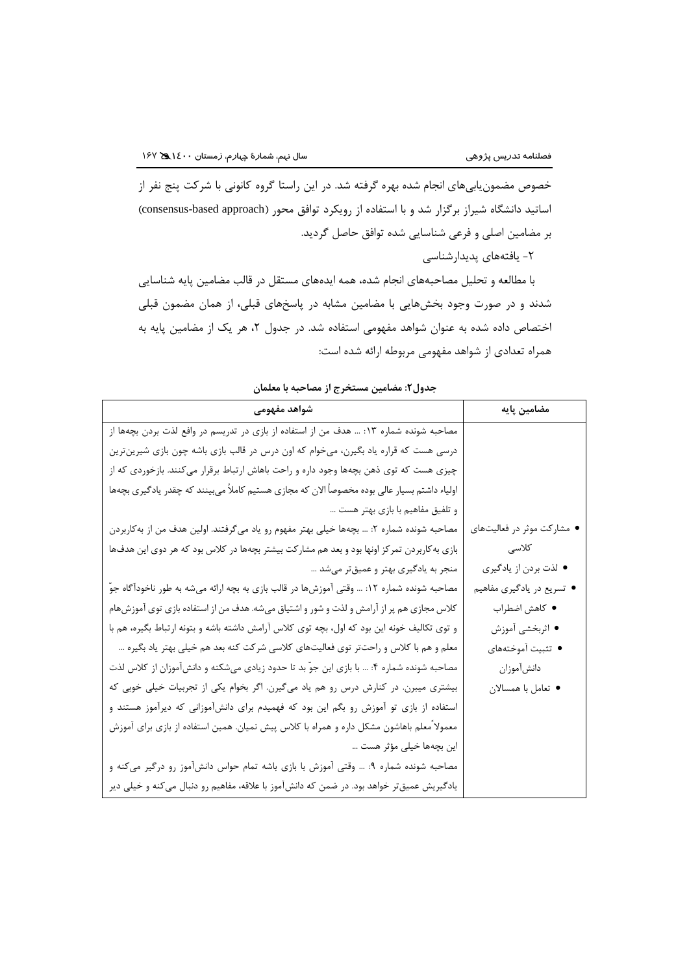خصوص مضمونیابیهاي انجام شده بهره گرفته شد. در این راستا گروه كانونی با شركت پنج نفر از اساتید دانشگاه شیراز برگزار شد و با استفاده از رویکرد توافق محور (consensus-based approach) بر مضامین اصلی و فرعی شناسایی شده توافق حاصل گردید.

-2 یافتههاي پدیدارشناسی

با مطالعه و تحلیل مصاحبههاي انجام شده، همه ایدههاي مستقل در قالب مضامین پایه شناسایی شدند و در صورت وجود بخشهایی با مضامین مشابه در پاسخهاي قبلی، از همان مضمون قبلی اختصاص داده شده به عنوان شواهد مفهومی استفاده شد. در جدول ۲، هر یک از مضامین پایه به همراه تعدادي از شواهد مفهومی مربوطه ارائه شده است:

| شواهد مفهومى                                                                                  | مضامین پایه                |
|-----------------------------------------------------------------------------------------------|----------------------------|
| مصاحبه شونده شماره ۱۳: … هدف من از استفاده از بازی در تدریسم در وافع لذت بردن بچهها از        |                            |
| درسی هست که قراره یاد بگیرن، میخوام که اون درس در قالب بازی باشه چون بازی شیرینترین           |                            |
| چیزی هست که توی ذهن بچهها وجود داره و راحت باهاش ارتباط برقرار میکنند. بازخوردی که از         |                            |
| اولیاء داشتم بسیار عالی بوده مخصوصاً الان که مجازی هستیم کاملاً میبینند که چقدر یادگیری بچهها |                            |
| و تلفيق مفاهيم با بازي بهتر هست                                                               |                            |
| مصاحبه شونده شماره ۲: … بچهها خیلی بهتر مفهوم رو یاد میگرفتند. اولین هدف من از بهکاربردن      | ● مشارکت موثر در فعالیتهای |
| بازی به کاربردن تمرکز اونها بود و بعد هم مشارکت بیشتر بچهها در کلاس بود که هر دوی این هدفها   | كلاسى                      |
| منجر به یادگیری بهتر و عمیقتر میشد …                                                          | ● لذت بردن از يادگيري      |
| مصاحبه شونده شماره ۱۲: … وقتی آموزشها در قالب بازی به بچه ارائه میشه به طور ناخودآگاه جوّ     | • تسریع در یادگیری مفاهیم  |
| کلاس مجازی هم پر از آرامش و لذت و شور و اشتیاق میشه. هدف من از استفاده بازی توی آموزش هام     | • كاهش اضطراب              |
| و توی تکالیف خونه این بود که اول، بچه توی کلاس آرامش داشته باشه و بتونه ارتباط بگیره، هم با   | • اثربخشی آموزش            |
| معلم و هم با کلاس و راحتتر توی فعالیتهای کلاسی شرکت کنه بعد هم خیلی بهتر یاد بگیره …          | ● تثبيت أموختههاي          |
| مصاحبه شونده شماره ۴: … با بازی این جوّ بد تا حدود زیادی میشکنه و دانشآموزان از کلاس لذت      | دانشأموزان                 |
| بیشتری میبرن. در کنارش درس رو هم یاد میگیرن. اگر بخوام یکی از تجربیات خیلی خوبی که            | • تعامل با همسالان         |
| استفاده از بازی تو آموزش رو بگم این بود که فهمیدم برای دانشآموزانی که دیرآموز هستند و         |                            |
| معمولاً معلم باهاشون مشکل داره و همراه با کلاس پیش نمیان. همین استفاده از بازی برای آموزش     |                            |
| ا این بچهها خیلی مؤثر هست …                                                                   |                            |
| مصاحبه شونده شماره ۹: … وقتی آموزش با بازی باشه تمام حواس دانشآموز رو درگیر میکنه و           |                            |
| یادگیریش عمیقتر خواهد بود. در ضمن که دانشآموز با علاقه، مفاهیم رو دنبال میکنه و خیلی دیر      |                            |

**جدول:2 مضامین مستخرج از مصاحبه با معلمان**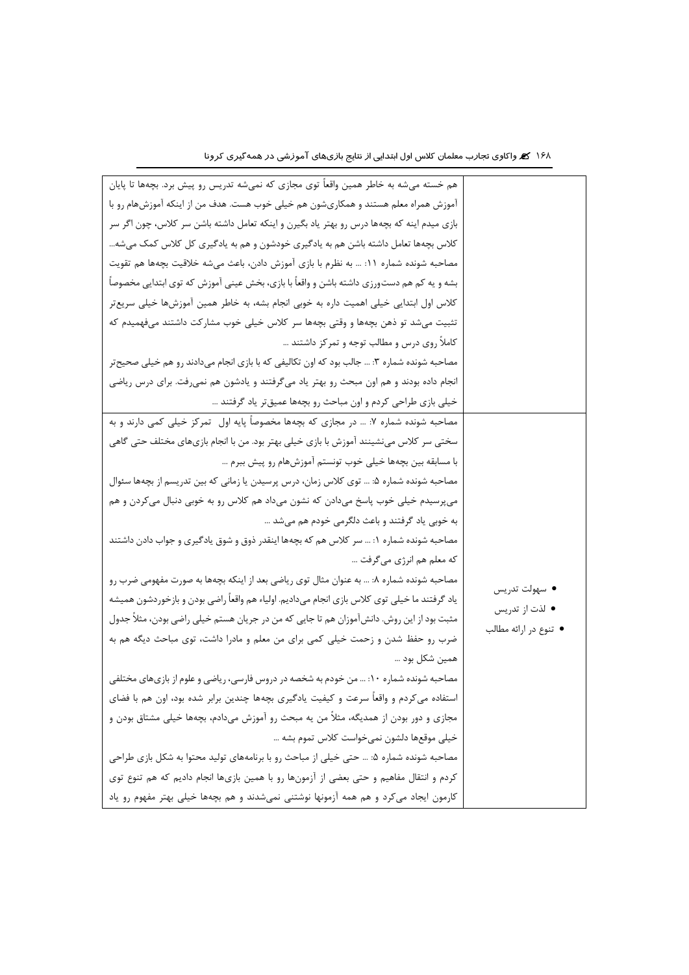| هم خسته میشه به خاطر همین واقعاً توی مجازی که نمیشه تدریس رو پیش برد. بچهها تا پایان          |                       |
|-----------------------------------------------------------------------------------------------|-----------------------|
| آموزش همراه معلم هستند و همکاریشون هم خیلی خوب هست. هدف من از اینکه آموزشهام رو با            |                       |
| بازی میدم اینه که بچهها درس رو بهتر یاد بگیرن و اینکه تعامل داشته باشن سر کلاس، چون اگر سر    |                       |
| کلاس بچهها تعامل داشته باشن هم به یادگیری خودشون و هم به یادگیری کل کلاس کمک میشه…            |                       |
| مصاحبه شونده شماره ١١: … به نظرم با بازي آموزش دادن، باعث ميشه خلاقيت بچهها هم تقويت          |                       |
| بشه و یه کم هم دستورزی داشته باشن و واقعاً با بازی، بخش عینی آموزش که توی ابتدایی مخصوصاً     |                       |
| كلاس اول ابتدايي خيلي اهميت داره به خوبي انجام بشه، به خاطر همين آموزشها خيلي سريعتر          |                       |
| تثبیت میشد تو ذهن بچهها و وقتی بچهها سر کلاس خیلی خوب مشارکت داشتند میفهمیدم که               |                       |
| کاملاً روی درس و مطالب توجه و تمرکز داشتند …                                                  |                       |
| مصاحبه شونده شماره ۳: … جالب بود که اون تکالیفی که با بازی انجام میدادند رو هم خیلی صحیح تر   |                       |
| انجام داده بودند و هم اون مبحث رو بهتر یاد میگرفتند و یادشون هم نمیرفت. برای درس ریاضی        |                       |
| خیلی بازی طراحی کردم و اون مباحث رو بچهها عمیقتر یاد گرفتند …                                 |                       |
| مصاحبه شونده شماره ۷: … در مجازی که بچهها مخصوصاً پایه اول۔تمرکز خیلی کمی دارند و به          |                       |
| سختی سر کلاس می:شینند آموزش با بازی خیلی بهتر بود. من با انجام بازیهای مختلف حتی گاهی         |                       |
| با مسابقه بین بچهها خیلی خوب تونستم آموزشهام رو پیش ببرم …                                    |                       |
| مصاحبه شونده شماره ۵: … توی کلاس زمان، درس پرسیدن یا زمانی که بین تدریسم از بچهها سئوال       |                       |
| میپرسیدم خیلی خوب پاسخ میدادن که نشون میداد هم کلاس رو به خوبی دنبال میکردن و هم              |                       |
| به خوبی یاد گرفتند و باعث دلگرمی خودم هم میشد …                                               |                       |
| مصاحبه شونده شماره ۱: … سر کلاس هم که بچهها اینقدر ذوق و شوق یادگیری و جواب دادن داشتند       |                       |
| که معلم هم انرژي ميگرفت                                                                       |                       |
| مصاحبه شونده شماره ٨:  به عنوان مثال توى رياضي بعد از اينكه بچهها به صورت مفهومي ضرب رو       | ● سهولت تدريس         |
| یاد گرفتند ما خیلی توی کلاس بازی انجام میدادیم. اولیاء هم واقعاً راضی بودن و بازخوردشون همیشه | ● لذت از تدريس        |
| مثبت بود از این روش. دانشآموزان هم تا جایی که من در جریان هستم خیلی راضی بودن، مثلاً جدول     | ● تنوع در ارائه مطالب |
| ضرب رو حفظ شدن و زحمت خیلی کمی برای من معلم و مادرا داشت، توی مباحث دیگه هم به                |                       |
| همين شكل بود …                                                                                |                       |
| مصاحبه شونده شماره ۱۰:  من خودم به شخصه در دروس فارسی، ریاضی و علوم از بازیهای مختلفی         |                       |
| استفاده میکردم و واقعاً سرعت و کیفیت یادگیری بچهها چندین برابر شده بود، اون هم با فضای        |                       |
| مجازی و دور بودن از همدیگه، مثلاً من یه مبحث رو آموزش میدادم، بچهها خیلی مشتاق بودن و         |                       |
| خيلي موقعها دلشون نمي خواست كلاس تموم بشه …                                                   |                       |
| مصاحبه شونده شماره ۵: … حتی خیلی از مباحث رو با برنامههای تولید محتوا به شکل بازی طراحی       |                       |
| کردم و انتقال مفاهیم و حتی بعضی از آزمونها رو با همین بازیها انجام دادیم که هم تنوع توی       |                       |
| کارمون ایجاد میکرد و هم همه آزمونها نوشتنی نمیشدند و هم بچهها خیلی بهتر مفهوم رو یاد          |                       |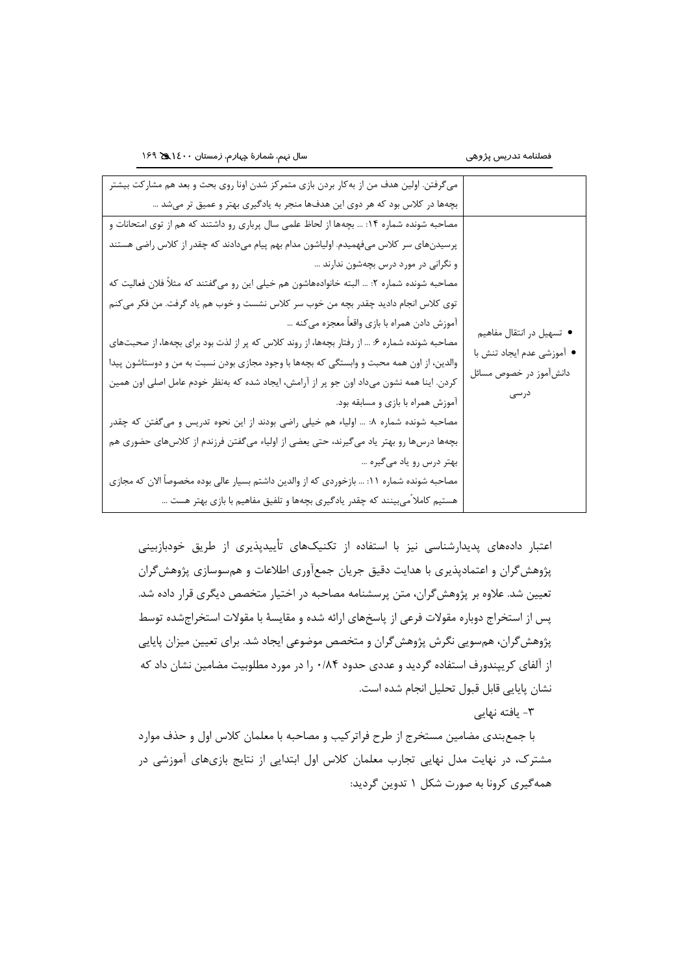| و نگرانی در مورد درس بچهشون ندارند …                                    |
|-------------------------------------------------------------------------|
|                                                                         |
|                                                                         |
| آموزش دادن همراه با بازي واقعاً معجزه ميكنه<br>● تسهیل در انتقال مفاهیم |
| • أموزشي عدم ايجاد تنش با                                               |
| دانشآموز در خصوص مسائل                                                  |
|                                                                         |
| درسی                                                                    |
|                                                                         |
|                                                                         |
| بهتر درس رو یاد میگیره …                                                |
|                                                                         |
|                                                                         |
| أموزش همراه با بازي و مسابقه بود.                                       |

اعتبار دادههاي پدیدارشناسی نیز با استفاده از تکنیکهاي تأییدپذیري از طریق خودبازبینی پژوهشگران و اعتمادپذیري با هدایت دقیق جریان جمعآوري اطالعات و همسوسازي پژوهشگران تعیین شد. عالوه بر پژوهشگران، متن پرسشنامه مصاحبه در اختیار متخصص دیگري قرار داده شد. پس از استخراج دوباره مقوالت فرعی از پاسخهاي ارائه شده و مقایسة با مقوالت استخراجشده توسط پژوهشگران، همسویی نگرش پژوهشگران و متخصص موضوعی ایجاد شد. براي تعیین میزان پایایی از آلفاي كریپندورف استفاده گردید و عددي حدود 0/84 را در مورد مطلوبیت مضامین نشان داد كه نشان پایایی قابل قبول تحلیل انجام شده است.

-3 یافته نهایی

با جمعبندي مضامین مستخرج از طرح فراتركیب و مصاحبه با معلمان كالس اول و حذف موارد مشترک، در نهایت مدل نهایی تجارب معلمان كالس اول ابتدایی از نتایج بازيهاي آموزشی در همهگیري كرونا به صورت شکل 1 تدوین گردید: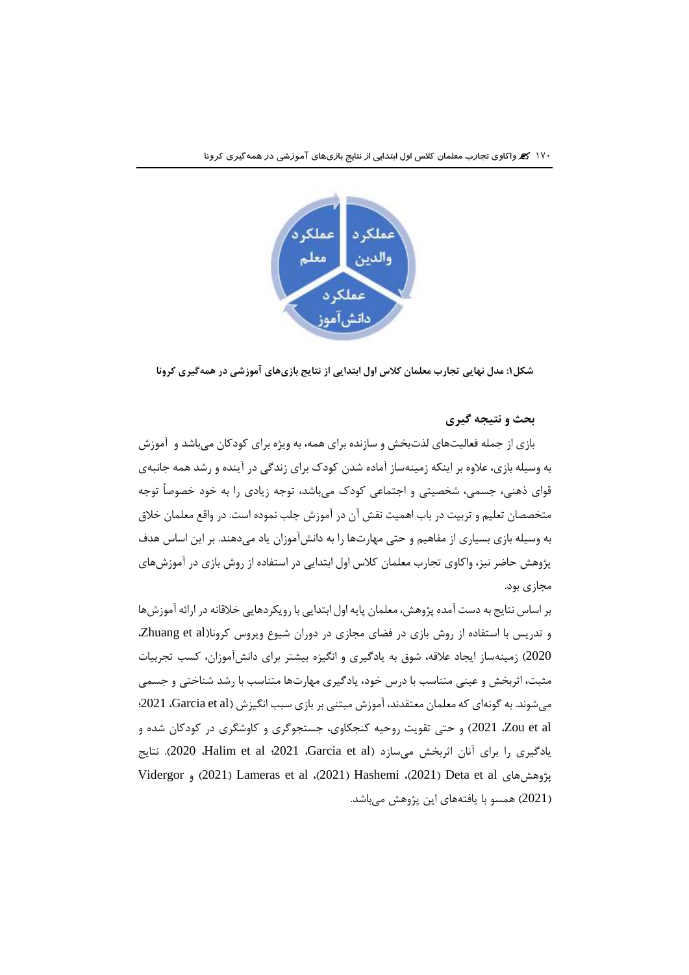

**شکل:۱ مدل نهایی تجارب معلمان كالس اول ابتدایی از نتایج بازيهاي آموزشی در همهگیري كرونا**

**بحث و نتیجه گیري**

بازي از جمله فعالیتهاي لذتبخش و سازنده براي همه، به ویژه براي كودكان میباشد و آموزش به وسیله بازي، عالوه بر اینکه زمینهساز آماده شدن كودک براي زندگی در آینده و رشد همه جانبهي قواي ذهنی، جسمی، شخصیتی و اجتماعی كودک میباشد، توجه زیادي را به خود خصوصاً توجه متخصصان تعلیم و تربیت در باب اهمیت نقش آن در آموزش جلب نموده است. در واقع معلمان خالق به وسیله بازي بسیاري از مفاهیم و حتی مهارتها را به دانشآموزان یاد میدهند. بر این اساس هدف پژوهش حاضر نیز، واكاوي تجارب معلمان كالس اول ابتدایی در استفاده از روش بازي در آموزشهاي مجازي بود.

بر اساس نتایج به دست آمده پژوهش، معلمان پایه اول ابتدایی با رویکردهایی خالقانه در ارائه آموزشها و تدریس با استفاده از روش بازي در فضاي مجازي در دوران شیوع ویروس كرونا)al et Zhuang، 2020( زمینهساز ایجاد عالقه، شوق به یادگیري و انگیزه بیشتر براي دانشآموزان، كسب تجربیات مثبت، اثربخش و عینی متناسب با درس خود، یادگیري مهارتها متناسب با رشد شناختی و جسمی می شوند. به گونهای كه معلمان معتقدند، آموزش مبتنی بر بازی سبب انگیزش (Garcia et al، 2021؛ al et Zou، 2021 )و حتی تقویت روحیه كنجکاوي، جستجوگري و كاوشگري در كودكان شده و یادگیری را برای آنان اثربخش میسازد (Garcia et al وdo21؛ Halim et al و2021). نتایج Vidergor و( 2021 )Lameras et al ،)2021( Hashemi ،)2021( Deta et al پژوهشهاي )2021( همسو با یافتههاي این پژوهش میباشد.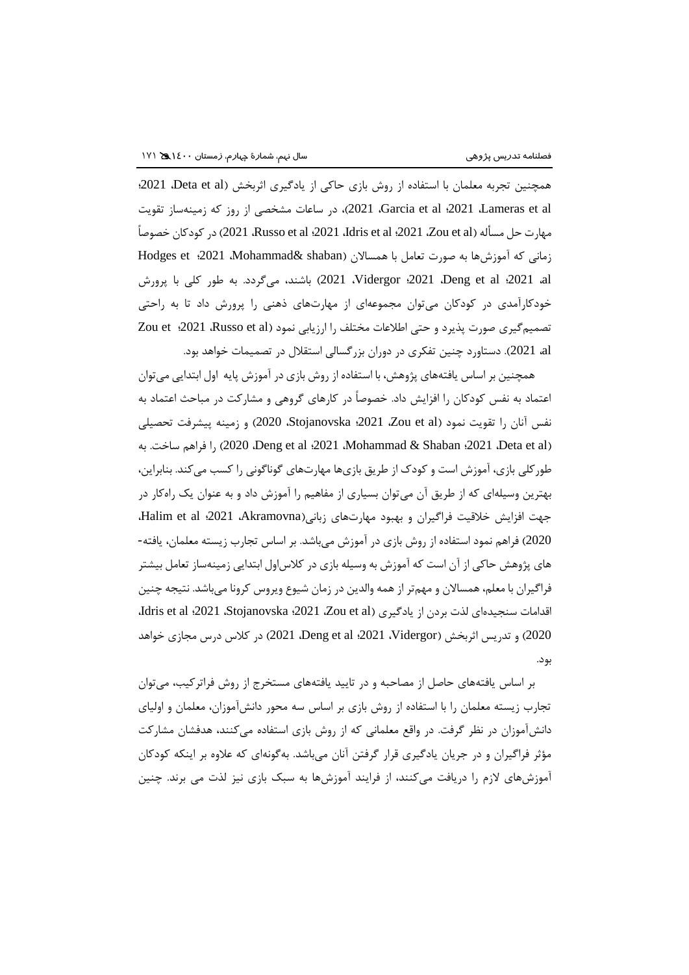همچنین تجربه معلمان با استفاده از روش بازي حاكي از یادگیري اثربخش (Deta et al، 2021؛ al et Lameras، 2021؛ al et Garcia، 2021)، در ساعات مشخصی از روز كه زمینهساز تقویت مهارت حل مسأله (Zou et al ؛2021 ،Russo et al ؛2021 ،Idris et al ؛2021 در كودكان خصوصاً زمانی كه آموزشها به صورت تعامل با همسالان (Mohammad& shaban) Hodges et :2021 al، 2021؛ al et Deng، 2021؛ Vidergor، 2021 )باشند، میگردد. به طور كلی با پرورش خودكارآمدي در كودكان میتوان مجموعهاي از مهارتهاي ذهنی را پرورش داد تا به راحتی تصمیم گیری صورت پذیرد و حتی اطلاعات مختلف را ارزیابی نمود (Zou et :2021 ،Russo et al al، 2021). دستاورد چنین تفکري در دوران بزرگسالی استقالل در تصمیمات خواهد بود.

همچنین بر اساس یافتههاي پژوهش، با استفاده از روش بازي در آموزش پایه اول ابتدایی میتوان اعتماد به نفس كودكان را افزایش داد. خصوصاً در كارهاي گروهی و مشاركت در مباحث اعتماد به نفس آنان را تقویت نمود )al et Zou، 2021؛ Stojanovska، 2020 )و زمینه پیشرفت تحصیلی به .ساخت فراهم را( 2020 ،Deng et al ؛2021 ،Mohammad & Shaban ؛2021 ،Deta et al( طوركلی بازي، آموزش است و كودک از طریق بازيها مهارتهاي گوناگونی را كسب میكند. بنابراین، بهترین وسیلهاي كه از طریق آن میتوان بسیاري از مفاهیم را آموزش داد و به عنوان یک راهكار در جهت افزایش خلاقیت فراگیران و بهبود مهارتهای زبانی(Akramovna، 2021؛ Halim et al، 2020( فراهم نمود استفاده از روش بازي در آموزش میباشد. بر اساس تجارب زیسته معلمان، یافته- هاي پژوهش حاكی از آن است كه آموزش به وسیله بازي در كالساول ابتدایی زمینهساز تعامل بیشتر فراگیران با معلم، همساالن و مهمتر از همه والدین در زمان شیوع ویروس كرونا میباشد. نتیجه چنین اقدامات سنجیدهای لذت بردن از یادگیری (Zou et al 2021؛ Jdris et al  $.2021$ ، Stojanovska، 2021، Zou et al 2020( و تدریس اثربخش )Vidergor، 2021؛ al et Deng، 2021 )در كالس درس مجازي خواهد بود.

بر اساس یافتههاي حاصل از مصاحبه و در تایید یافتههاي مستخرج از روش فراتركیب، میتوان تجارب زیسته معلمان را با استفاده از روش بازي بر اساس سه محور دانشآموزان، معلمان و اولیاي دانشآموزان در نظر گرفت. در واقع معلمانی كه از روش بازي استفاده میكنند، هدفشان مشاركت مؤثر فراگیران و در جریان یادگیري قرار گرفتن آنان میباشد. بهگونهاي كه عالوه بر اینکه كودكان آموزشهاي الزم را دریافت میكنند، از فرایند آموزشها به سبک بازي نیز لذت می برند. چنین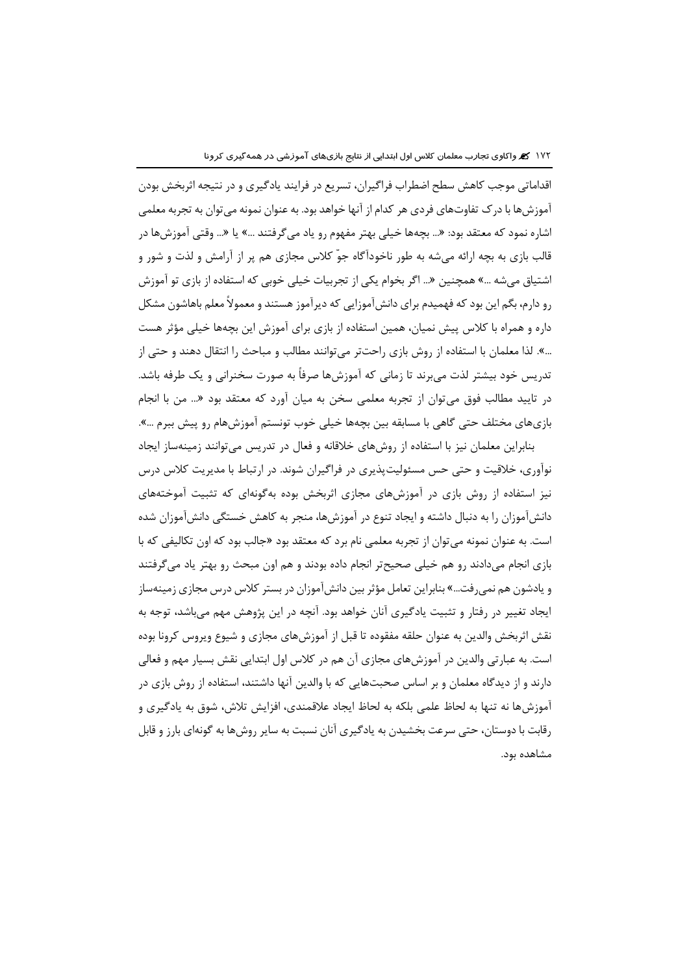اقداماتی موجب كاهش سطح اضطراب فراگیران، تسریع در فرایند یادگیري و در نتیجه اثربخش بودن آموزشها با درک تفاوتهاي فردي هر كدام از آنها خواهد بود. به عنوان نمونه میتوان به تجربه معلمی اشاره نمود كه معتقد بود: »... بچهها خیلی بهتر مفهوم رو یاد میگرفتند ...« یا »... وقتی آموزشها در قالب بازي به بچه ارائه میشه به طور ناخودآگاه جوّ كالس مجازي هم پر از آرامش و لذت و شور و اشتیاق میشه ...« همچنین »... اگر بخوام یکی از تجربیات خیلی خوبی كه استفاده از بازي تو آموزش رو دارم، بگم این بود كه فهمیدم براي دانشآموزایی كه دیرآموز هستند و معموالً معلم باهاشون مشکل داره و همراه با كالس پیش نمیان، همین استفاده از بازي براي آموزش این بچهها خیلی مؤثر هست ...«. لذا معلمان با استفاده از روش بازي راحتتر میتوانند مطالب و مباحث را انتقال دهند و حتی از تدریس خود بیشتر لذت میبرند تا زمانی كه آموزشها صرفاً به صورت سخنرانی و یک طرفه باشد. در تایید مطالب فوق میتوان از تجربه معلمی سخن به میان آورد كه معتقد بود »... من با انجام بازيهاي مختلف حتی گاهی با مسابقه بین بچهها خیلی خوب تونستم آموزشهام رو پیش ببرم ...«.

بنابراین معلمان نیز با استفاده از روشهاي خالقانه و فعال در تدریس میتوانند زمینهساز ایجاد نوآوري، خالقیت و حتی حس مسئولیتپذیري در فراگیران شوند. در ارتباط با مدیریت كالس درس نیز استفاده از روش بازي در آموزشهاي مجازي اثربخش بوده بهگونهاي كه تثبیت آموختههاي دانشآموزان را به دنبال داشته و ایجاد تنوع در آموزشها، منجر به كاهش خستگی دانشآموزان شده است. به عنوان نمونه میتوان از تجربه معلمی نام برد كه معتقد بود »جالب بود كه اون تکالیفی كه با بازي انجام میدادند رو هم خیلی صحیحتر انجام داده بودند و هم اون مبحث رو بهتر یاد میگرفتند و یادشون هم نمیرفت...« بنابراین تعامل مؤثر بین دانشآموزان در بستر كالس درس مجازي زمینهساز ایجاد تغییر در رفتار و تثبیت یادگیري آنان خواهد بود. آنچه در این پژوهش مهم میباشد، توجه به نقش اثربخش والدین به عنوان حلقه مفقوده تا قبل از آموزشهاي مجازي و شیوع ویروس كرونا بوده است. به عبارتی والدین در آموزشهاي مجازي آن هم در كالس اول ابتدایی نقش بسیار مهم و فعالی دارند و از دیدگاه معلمان و بر اساس صحبتهایی كه با والدین آنها داشتند، استفاده از روش بازي در آموزشها نه تنها به لحاظ علمی بلکه به لحاظ ایجاد عالقمندي، افزایش تالش، شوق به یادگیري و رقابت با دوستان، حتی سرعت بخشیدن به یادگیري آنان نسبت به سایر روشها به گونهاي بارز و قابل مشاهده بود.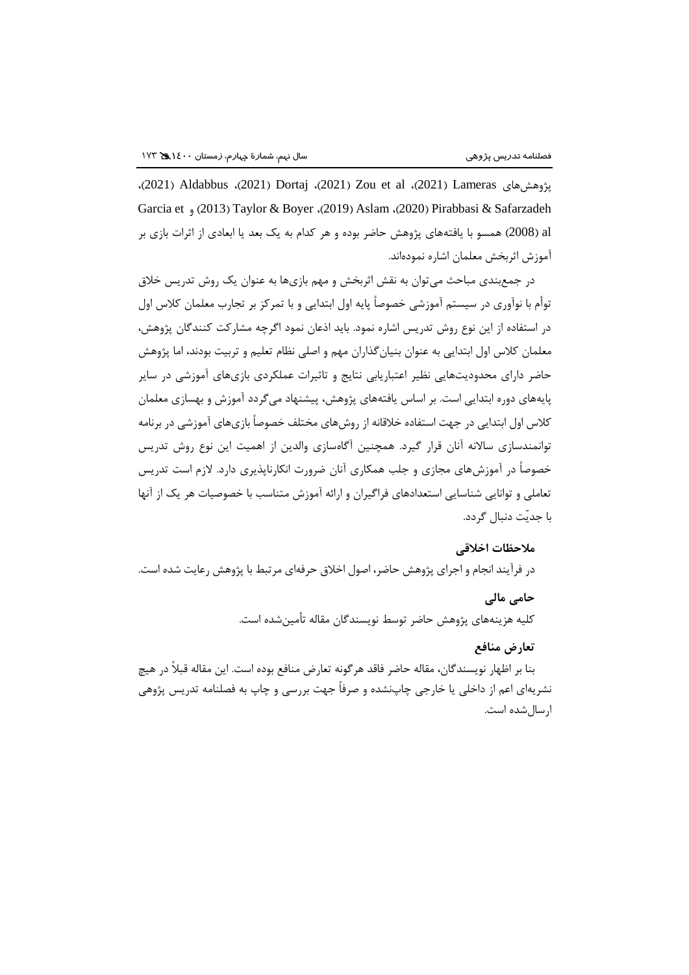،)2021( Aldabbus ،)2021( Dortaj ،)2021( Zou et al ،)2021( Lameras پژوهشهاي Garcia et و( 2013 )Taylor & Boyer ،)2019( Aslam ،)2020( Pirabbasi & Safarzadeh al( 2008 )همسو با یافتههاي پژوهش حاضر بوده و هر كدام به یک بعد یا ابعادي از اثرات بازي بر آموزش اثربخش معلمان اشاره نمودهاند.

در جمعبندي مباحث میتوان به نقش اثربخش و مهم بازيها به عنوان یک روش تدریس خالق توأم با نوآوري در سیستم آموزشی خصوصاً پایه اول ابتدایی و با تمركز بر تجارب معلمان كالس اول در استفاده از این نوع روش تدریس اشاره نمود. باید اذعان نمود اگرچه مشاركت كنندگان پژوهش، معلمان كالس اول ابتدایی به عنوان بنیانگذاران مهم و اصلی نظام تعلیم و تربیت بودند، اما پژوهش حاضر داراي محدودیتهایی نظیر اعتباریابی نتایج و تاثیرات عملکردي بازيهاي آموزشی در سایر پایههاي دوره ابتدایی است. بر اساس یافتههاي پژوهش، پیشنهاد میگردد آموزش و بهسازي معلمان كالس اول ابتدایی در جهت استفاده خالقانه از روشهاي مختلف خصوصاً بازيهاي آموزشی در برنامه توانمندسازي ساالنه آنان قرار گیرد. همچنین آگاهسازي والدین از اهمیت این نوع روش تدریس خصوصاً در آموزشهاي مجازي و جلب همکاري آنان ضرورت انکارناپذیري دارد. الزم است تدریس تعاملی و توانایی شناسایی استعدادهاي فراگیران و ارائه آموزش متناسب با خصوصیات هر یک از آنها با جدیّت دنبال گردد.

#### **مالحظات اخالقی**

در فرآیند انجام و اجراي پژوهش حاضر، اصول اخالق حرفهاي مرتبط با پژوهش رعایت شده است.

# **حامی مالی**

كلیه هزینههاي پژوهش حاضر توسط نویسندگان مقاله تأمینشده است.

# **تعارض منافع**

بنا بر اظهار نویسندگان، مقاله حاضر فاقد هرگونه تعارض منافع بوده است. این مقاله قبالً در هیچ نشریهاي اعم از داخلی یا خارجی چاپنشده و صرفاً جهت بررسی و چاپ به فصلنامه تدریس پژوهی ارسالشده است.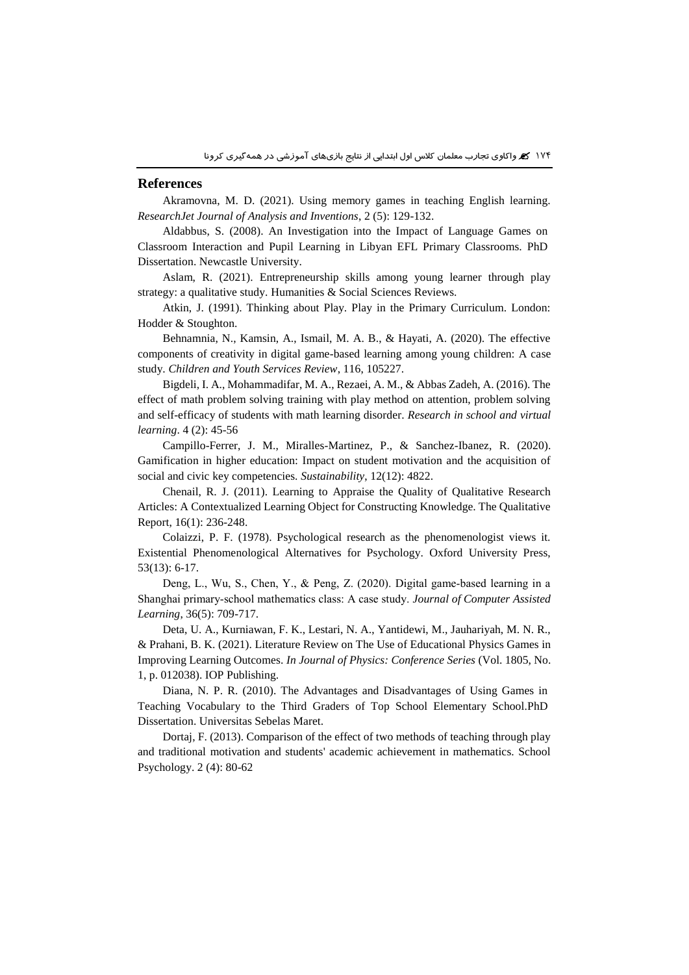#### **References**

Akramovna, M. D. (2021). Using memory games in teaching English learning. *ResearchJet Journal of Analysis and Inventions*, 2 (5): 129-132.

Aldabbus, S. (2008). An Investigation into the Impact of Language Games on Classroom Interaction and Pupil Learning in Libyan EFL Primary Classrooms. PhD Dissertation. Newcastle University.

Aslam, R. (2021). Entrepreneurship skills among young learner through play strategy: a qualitative study. Humanities & Social Sciences Reviews.

Atkin, J. (1991). Thinking about Play. Play in the Primary Curriculum. London: Hodder & Stoughton.

Behnamnia, N., Kamsin, A., Ismail, M. A. B., & Hayati, A. (2020). The effective components of creativity in digital game-based learning among young children: A case study. *Children and Youth Services Review*, 116, 105227.

Bigdeli, I. A., Mohammadifar, M. A., Rezaei, A. M., & Abbas Zadeh, A. (2016). The effect of math problem solving training with play method on attention, problem solving and self-efficacy of students with math learning disorder. *Research in school and virtual learning*. 4 (2): 45-56

Campillo-Ferrer, J. M., Miralles-Martinez, P., & Sanchez-Ibanez, R. (2020). Gamification in higher education: Impact on student motivation and the acquisition of social and civic key competencies. *Sustainability*, 12(12): 4822.

Chenail, R. J. (2011). Learning to Appraise the Quality of Qualitative Research Articles: A Contextualized Learning Object for Constructing Knowledge. The Qualitative Report, 16(1): 236-248.

Colaizzi, P. F. (1978). Psychological research as the phenomenologist views it. Existential Phenomenological Alternatives for Psychology. Oxford University Press, 53(13): 6-17.

Deng, L., Wu, S., Chen, Y., & Peng, Z. (2020). Digital game‐based learning in a Shanghai primary‐school mathematics class: A case study. *Journal of Computer Assisted Learning*, 36(5): 709-717.

Deta, U. A., Kurniawan, F. K., Lestari, N. A., Yantidewi, M., Jauhariyah, M. N. R., & Prahani, B. K. (2021). Literature Review on The Use of Educational Physics Games in Improving Learning Outcomes. *In Journal of Physics: Conference Series* (Vol. 1805, No. 1, p. 012038). IOP Publishing.

Diana, N. P. R. (2010). The Advantages and Disadvantages of Using Games in Teaching Vocabulary to the Third Graders of Top School Elementary School.PhD Dissertation. Universitas Sebelas Maret.

Dortaj, F. (2013). Comparison of the effect of two methods of teaching through play and traditional motivation and students' academic achievement in mathematics. School Psychology. 2 (4): 80-62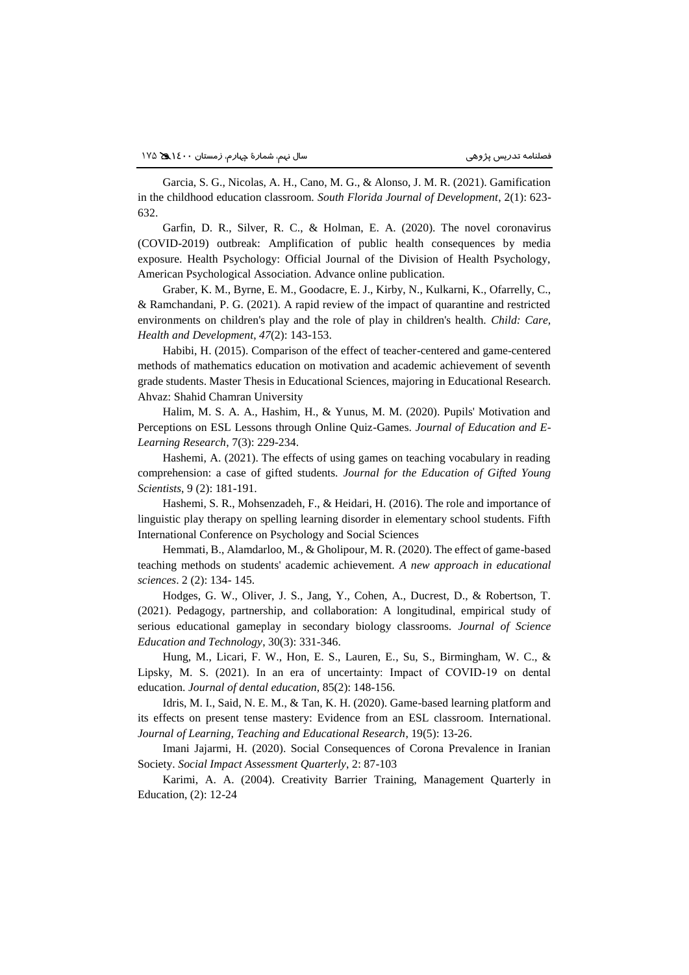Garcia, S. G., Nicolas, A. H., Cano, M. G., & Alonso, J. M. R. (2021). Gamification in the childhood education classroom. *South Florida Journal of Development*, 2(1): 623- 632.

Garfin, D. R., Silver, R. C., & Holman, E. A. (2020). The novel coronavirus (COVID-2019) outbreak: Amplification of public health consequences by media exposure. Health Psychology: Official Journal of the Division of Health Psychology, American Psychological Association. Advance online publication.

Graber, K. M., Byrne, E. M., Goodacre, E. J., Kirby, N., Kulkarni, K., Ofarrelly, C., & Ramchandani, P. G. (2021). A rapid review of the impact of quarantine and restricted environments on children's play and the role of play in children's health. *Child: Care, Health and Development*, *47*(2): 143-153.

Habibi, H. (2015). Comparison of the effect of teacher-centered and game-centered methods of mathematics education on motivation and academic achievement of seventh grade students. Master Thesis in Educational Sciences, majoring in Educational Research. Ahvaz: Shahid Chamran University

Halim, M. S. A. A., Hashim, H., & Yunus, M. M. (2020). Pupils' Motivation and Perceptions on ESL Lessons through Online Quiz-Games. *Journal of Education and E-Learning Research*, 7(3): 229-234.

Hashemi, A. (2021). The effects of using games on teaching vocabulary in reading comprehension: a case of gifted students. *Journal for the Education of Gifted Young Scientists*, 9 (2): 181-191.

Hashemi, S. R., Mohsenzadeh, F., & Heidari, H. (2016). The role and importance of linguistic play therapy on spelling learning disorder in elementary school students. Fifth International Conference on Psychology and Social Sciences

Hemmati, B., Alamdarloo, M., & Gholipour, M. R. (2020). The effect of game-based teaching methods on students' academic achievement. *A new approach in educational sciences*. 2 (2): 134- 145.

Hodges, G. W., Oliver, J. S., Jang, Y., Cohen, A., Ducrest, D., & Robertson, T. (2021). Pedagogy, partnership, and collaboration: A longitudinal, empirical study of serious educational gameplay in secondary biology classrooms. *Journal of Science Education and Technology*, 30(3): 331-346.

Hung, M., Licari, F. W., Hon, E. S., Lauren, E., Su, S., Birmingham, W. C., & Lipsky, M. S. (2021). In an era of uncertainty: Impact of COVID‐19 on dental education. *Journal of dental education*, 85(2): 148-156.

Idris, M. I., Said, N. E. M., & Tan, K. H. (2020). Game-based learning platform and its effects on present tense mastery: Evidence from an ESL classroom. International. *Journal of Learning, Teaching and Educational Research*, 19(5): 13-26.

Imani Jajarmi, H. (2020). Social Consequences of Corona Prevalence in Iranian Society. *Social Impact Assessment Quarterly*, 2: 87-103

Karimi, A. A. (2004). Creativity Barrier Training, Management Quarterly in Education, (2): 12-24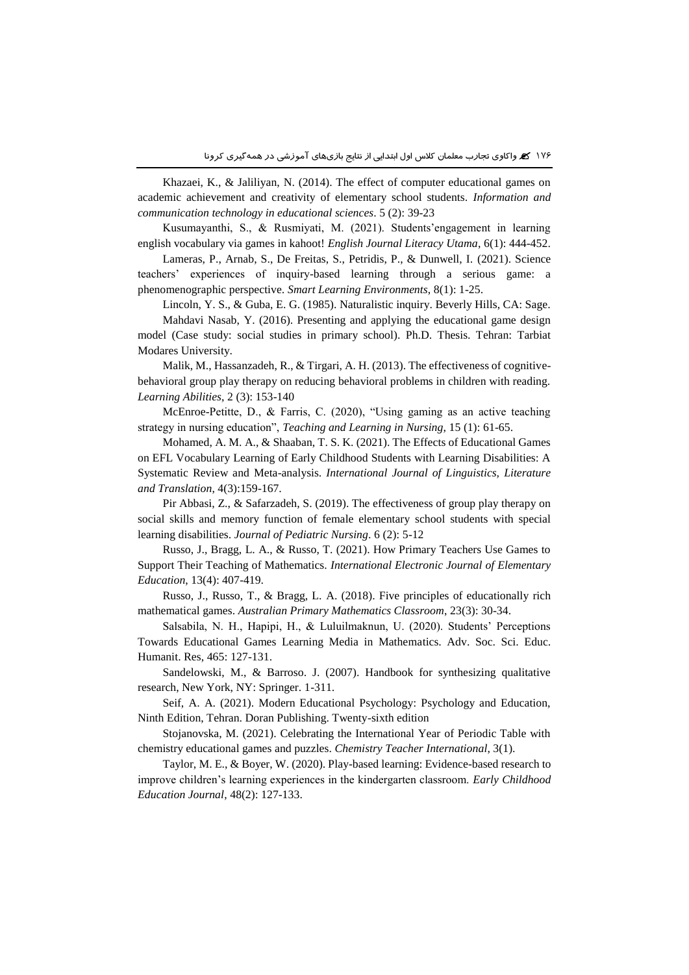Khazaei, K., & Jaliliyan, N. (2014). The effect of computer educational games on academic achievement and creativity of elementary school students. *Information and communication technology in educational sciences*. 5 (2): 39-23

Kusumayanthi, S., & Rusmiyati, M. (2021). Students'engagement in learning english vocabulary via games in kahoot! *English Journal Literacy Utama*, 6(1): 444-452.

Lameras, P., Arnab, S., De Freitas, S., Petridis, P., & Dunwell, I. (2021). Science teachers' experiences of inquiry-based learning through a serious game: a phenomenographic perspective. *Smart Learning Environments*, 8(1): 1-25.

Lincoln, Y. S., & Guba, E. G. (1985). Naturalistic inquiry. Beverly Hills, CA: Sage.

Mahdavi Nasab, Y. (2016). Presenting and applying the educational game design model (Case study: social studies in primary school). Ph.D. Thesis. Tehran: Tarbiat Modares University.

Malik, M., Hassanzadeh, R., & Tirgari, A. H. (2013). The effectiveness of cognitivebehavioral group play therapy on reducing behavioral problems in children with reading. *Learning Abilities*, 2 (3): 153-140

McEnroe-Petitte, D., & Farris, C. (2020), "Using gaming as an active teaching strategy in nursing education", *Teaching and Learning in Nursing*, 15 (1): 61-65.

Mohamed, A. M. A., & Shaaban, T. S. K. (2021). The Effects of Educational Games on EFL Vocabulary Learning of Early Childhood Students with Learning Disabilities: A Systematic Review and Meta-analysis. *International Journal of Linguistics, Literature and Translation*, 4(3):159-167.

Pir Abbasi, Z., & Safarzadeh, S. (2019). The effectiveness of group play therapy on social skills and memory function of female elementary school students with special learning disabilities. *Journal of Pediatric Nursing*. 6 (2): 5-12

Russo, J., Bragg, L. A., & Russo, T. (2021). How Primary Teachers Use Games to Support Their Teaching of Mathematics. *International Electronic Journal of Elementary Education*, 13(4): 407-419.

Russo, J., Russo, T., & Bragg, L. A. (2018). Five principles of educationally rich mathematical games. *Australian Primary Mathematics Classroom*, 23(3): 30-34.

Salsabila, N. H., Hapipi, H., & Luluilmaknun, U. (2020). Students' Perceptions Towards Educational Games Learning Media in Mathematics. Adv. Soc. Sci. Educ. Humanit. Res, 465: 127-131.

Sandelowski, M., & Barroso. J. (2007). Handbook for synthesizing qualitative research, New York, NY: Springer. 1-311.

Seif, A. A. (2021). Modern Educational Psychology: Psychology and Education, Ninth Edition, Tehran. Doran Publishing. Twenty-sixth edition

Stojanovska, M. (2021). Celebrating the International Year of Periodic Table with chemistry educational games and puzzles. *Chemistry Teacher International*, 3(1).

Taylor, M. E., & Boyer, W. (2020). Play-based learning: Evidence-based research to improve children's learning experiences in the kindergarten classroom. *Early Childhood Education Journal*, 48(2): 127-133.